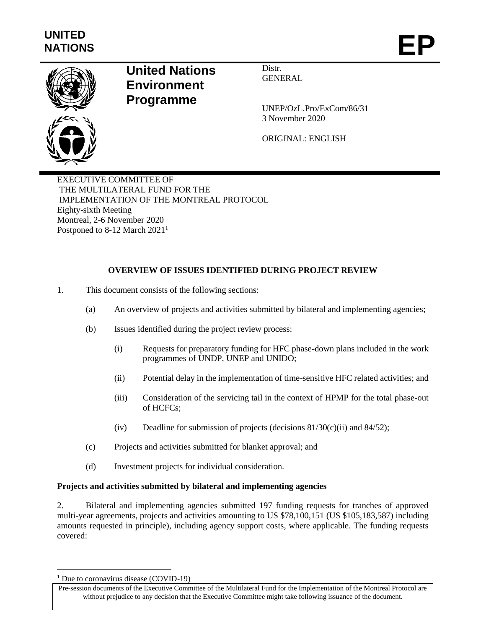

## **United Nations Environment Programme**

Distr. **GENERAL** 

UNEP/OzL.Pro/ExCom/86/31 3 November 2020

ORIGINAL: ENGLISH

EXECUTIVE COMMITTEE OF THE MULTILATERAL FUND FOR THE IMPLEMENTATION OF THE MONTREAL PROTOCOL Eighty-sixth Meeting Montreal, 2-6 November 2020 Postponed to 8-12 March 2021<sup>1</sup>

### **OVERVIEW OF ISSUES IDENTIFIED DURING PROJECT REVIEW**

- 1. This document consists of the following sections:
	- (a) An overview of projects and activities submitted by bilateral and implementing agencies;
	- (b) Issues identified during the project review process:
		- (i) Requests for preparatory funding for HFC phase-down plans included in the work programmes of UNDP, UNEP and UNIDO;
		- (ii) Potential delay in the implementation of time-sensitive HFC related activities; and
		- (iii) Consideration of the servicing tail in the context of HPMP for the total phase-out of HCFCs;
		- (iv) Deadline for submission of projects (decisions  $81/30(c)(ii)$  and  $84/52$ );
	- (c) Projects and activities submitted for blanket approval; and
	- (d) Investment projects for individual consideration.

#### **Projects and activities submitted by bilateral and implementing agencies**

2. Bilateral and implementing agencies submitted 197 funding requests for tranches of approved multi-year agreements, projects and activities amounting to US \$78,100,151 (US \$105,183,587) including amounts requested in principle), including agency support costs, where applicable. The funding requests covered:

 $\overline{a}$ 

 $1$  Due to coronavirus disease (COVID-19)

Pre-session documents of the Executive Committee of the Multilateral Fund for the Implementation of the Montreal Protocol are without prejudice to any decision that the Executive Committee might take following issuance of the document.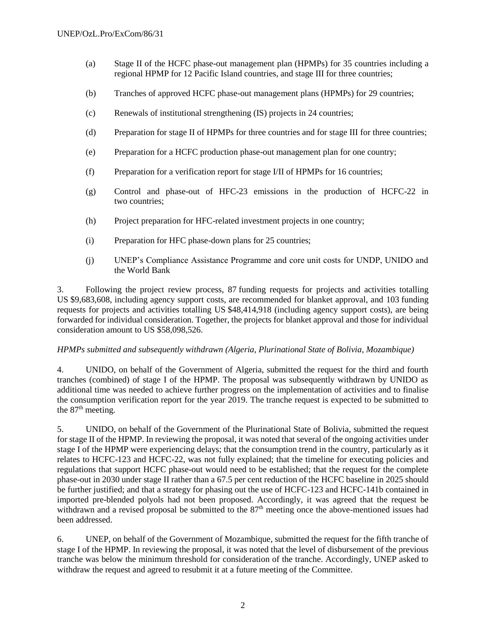- (a) Stage II of the HCFC phase-out management plan (HPMPs) for 35 countries including a regional HPMP for 12 Pacific Island countries, and stage III for three countries;
- (b) Tranches of approved HCFC phase-out management plans (HPMPs) for 29 countries;
- (c) Renewals of institutional strengthening (IS) projects in 24 countries;
- (d) Preparation for stage II of HPMPs for three countries and for stage III for three countries;
- (e) Preparation for a HCFC production phase-out management plan for one country;
- (f) Preparation for a verification report for stage I/II of HPMPs for 16 countries;
- (g) Control and phase-out of HFC-23 emissions in the production of HCFC-22 in two countries;
- (h) Project preparation for HFC-related investment projects in one country;
- (i) Preparation for HFC phase-down plans for 25 countries;
- (j) UNEP's Compliance Assistance Programme and core unit costs for UNDP, UNIDO and the World Bank

3. Following the project review process, 87 funding requests for projects and activities totalling US \$9,683,608, including agency support costs, are recommended for blanket approval, and 103 funding requests for projects and activities totalling US \$48,414,918 (including agency support costs), are being forwarded for individual consideration. Together, the projects for blanket approval and those for individual consideration amount to US \$58,098,526.

#### *HPMPs submitted and subsequently withdrawn (Algeria, Plurinational State of Bolivia, Mozambique)*

4. UNIDO, on behalf of the Government of Algeria, submitted the request for the third and fourth tranches (combined) of stage I of the HPMP. The proposal was subsequently withdrawn by UNIDO as additional time was needed to achieve further progress on the implementation of activities and to finalise the consumption verification report for the year 2019. The tranche request is expected to be submitted to the  $87<sup>th</sup>$  meeting.

5. UNIDO, on behalf of the Government of the Plurinational State of Bolivia, submitted the request for stage II of the HPMP. In reviewing the proposal, it was noted that several of the ongoing activities under stage I of the HPMP were experiencing delays; that the consumption trend in the country, particularly as it relates to HCFC-123 and HCFC-22, was not fully explained; that the timeline for executing policies and regulations that support HCFC phase-out would need to be established; that the request for the complete phase-out in 2030 under stage II rather than a 67.5 per cent reduction of the HCFC baseline in 2025 should be further justified; and that a strategy for phasing out the use of HCFC-123 and HCFC-141b contained in imported pre-blended polyols had not been proposed. Accordingly, it was agreed that the request be withdrawn and a revised proposal be submitted to the  $87<sup>th</sup>$  meeting once the above-mentioned issues had been addressed.

6. UNEP, on behalf of the Government of Mozambique, submitted the request for the fifth tranche of stage I of the HPMP. In reviewing the proposal, it was noted that the level of disbursement of the previous tranche was below the minimum threshold for consideration of the tranche. Accordingly, UNEP asked to withdraw the request and agreed to resubmit it at a future meeting of the Committee.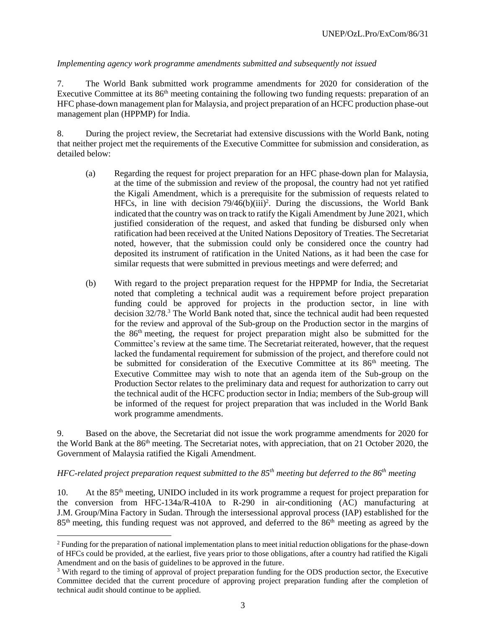#### *Implementing agency work programme amendments submitted and subsequently not issued*

7. The World Bank submitted work programme amendments for 2020 for consideration of the Executive Committee at its  $86<sup>th</sup>$  meeting containing the following two funding requests: preparation of an HFC phase-down management plan for Malaysia, and project preparation of an HCFC production phase-out management plan (HPPMP) for India.

8. During the project review, the Secretariat had extensive discussions with the World Bank, noting that neither project met the requirements of the Executive Committee for submission and consideration, as detailed below:

- (a) Regarding the request for project preparation for an HFC phase-down plan for Malaysia, at the time of the submission and review of the proposal, the country had not yet ratified the Kigali Amendment, which is a prerequisite for the submission of requests related to HFCs, in line with decision  $79/46(b)(iii)^2$ . During the discussions, the World Bank indicated that the country was on track to ratify the Kigali Amendment by June 2021, which justified consideration of the request, and asked that funding be disbursed only when ratification had been received at the United Nations Depository of Treaties. The Secretariat noted, however, that the submission could only be considered once the country had deposited its instrument of ratification in the United Nations, as it had been the case for similar requests that were submitted in previous meetings and were deferred; and
- (b) With regard to the project preparation request for the HPPMP for India, the Secretariat noted that completing a technical audit was a requirement before project preparation funding could be approved for projects in the production sector, in line with decision 32/78. <sup>3</sup> The World Bank noted that, since the technical audit had been requested for the review and approval of the Sub-group on the Production sector in the margins of the 86th meeting, the request for project preparation might also be submitted for the Committee's review at the same time. The Secretariat reiterated, however, that the request lacked the fundamental requirement for submission of the project, and therefore could not be submitted for consideration of the Executive Committee at its  $86<sup>th</sup>$  meeting. The Executive Committee may wish to note that an agenda item of the Sub-group on the Production Sector relates to the preliminary data and request for authorization to carry out the technical audit of the HCFC production sector in India; members of the Sub-group will be informed of the request for project preparation that was included in the World Bank work programme amendments.

9. Based on the above, the Secretariat did not issue the work programme amendments for 2020 for the World Bank at the 86<sup>th</sup> meeting. The Secretariat notes, with appreciation, that on 21 October 2020, the Government of Malaysia ratified the Kigali Amendment.

### *HFC-related project preparation request submitted to the 85th meeting but deferred to the 86th meeting*

10. At the 85<sup>th</sup> meeting, UNIDO included in its work programme a request for project preparation for the conversion from HFC-134a/R-410A to R-290 in air-conditioning (AC) manufacturing at J.M. Group/Mina Factory in Sudan. Through the intersessional approval process (IAP) established for the 85<sup>th</sup> meeting, this funding request was not approved, and deferred to the 86<sup>th</sup> meeting as agreed by the

l

<sup>2</sup> Funding for the preparation of national implementation plans to meet initial reduction obligations for the phase-down of HFCs could be provided, at the earliest, five years prior to those obligations, after a country had ratified the Kigali Amendment and on the basis of guidelines to be approved in the future.

<sup>&</sup>lt;sup>3</sup> With regard to the timing of approval of project preparation funding for the ODS production sector, the Executive Committee decided that the current procedure of approving project preparation funding after the completion of technical audit should continue to be applied.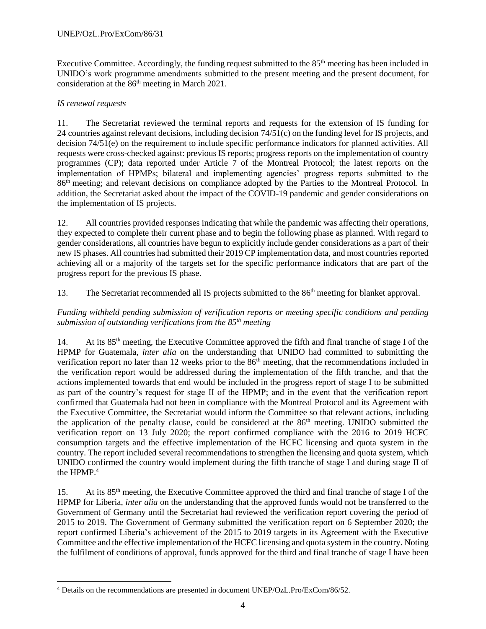Executive Committee. Accordingly, the funding request submitted to the  $85<sup>th</sup>$  meeting has been included in UNIDO's work programme amendments submitted to the present meeting and the present document, for consideration at the 86th meeting in March 2021.

### *IS renewal requests*

11. The Secretariat reviewed the terminal reports and requests for the extension of IS funding for 24 countries against relevant decisions, including decision 74/51(c) on the funding level for IS projects, and decision 74/51(e) on the requirement to include specific performance indicators for planned activities. All requests were cross-checked against: previous IS reports; progress reports on the implementation of country programmes (CP); data reported under Article 7 of the Montreal Protocol; the latest reports on the implementation of HPMPs; bilateral and implementing agencies' progress reports submitted to the 86<sup>th</sup> meeting; and relevant decisions on compliance adopted by the Parties to the Montreal Protocol. In addition, the Secretariat asked about the impact of the COVID-19 pandemic and gender considerations on the implementation of IS projects.

12. All countries provided responses indicating that while the pandemic was affecting their operations, they expected to complete their current phase and to begin the following phase as planned. With regard to gender considerations, all countries have begun to explicitly include gender considerations as a part of their new IS phases. All countries had submitted their 2019 CP implementation data, and most countries reported achieving all or a majority of the targets set for the specific performance indicators that are part of the progress report for the previous IS phase.

13. The Secretariat recommended all IS projects submitted to the 86<sup>th</sup> meeting for blanket approval.

#### *Funding withheld pending submission of verification reports or meeting specific conditions and pending submission of outstanding verifications from the 85th meeting*

14. At its 85<sup>th</sup> meeting, the Executive Committee approved the fifth and final tranche of stage I of the HPMP for Guatemala, *inter alia* on the understanding that UNIDO had committed to submitting the verification report no later than 12 weeks prior to the 86<sup>th</sup> meeting, that the recommendations included in the verification report would be addressed during the implementation of the fifth tranche, and that the actions implemented towards that end would be included in the progress report of stage I to be submitted as part of the country's request for stage II of the HPMP; and in the event that the verification report confirmed that Guatemala had not been in compliance with the Montreal Protocol and its Agreement with the Executive Committee, the Secretariat would inform the Committee so that relevant actions, including the application of the penalty clause, could be considered at the 86<sup>th</sup> meeting. UNIDO submitted the verification report on 13 July 2020; the report confirmed compliance with the 2016 to 2019 HCFC consumption targets and the effective implementation of the HCFC licensing and quota system in the country. The report included several recommendations to strengthen the licensing and quota system, which UNIDO confirmed the country would implement during the fifth tranche of stage I and during stage II of the HPMP.<sup>4</sup>

15. At its 85th meeting, the Executive Committee approved the third and final tranche of stage I of the HPMP for Liberia, *inter alia* on the understanding that the approved funds would not be transferred to the Government of Germany until the Secretariat had reviewed the verification report covering the period of 2015 to 2019. The Government of Germany submitted the verification report on 6 September 2020; the report confirmed Liberia's achievement of the 2015 to 2019 targets in its Agreement with the Executive Committee and the effective implementation of the HCFC licensing and quota system in the country. Noting the fulfilment of conditions of approval, funds approved for the third and final tranche of stage I have been

 $\overline{a}$ <sup>4</sup> Details on the recommendations are presented in document UNEP/OzL.Pro/ExCom/86/52.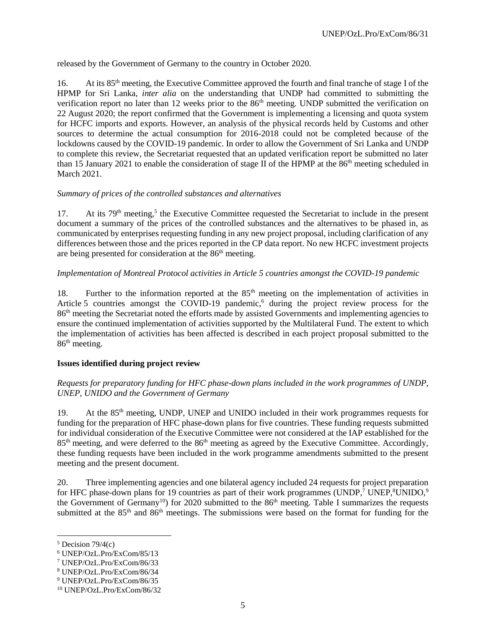released by the Government of Germany to the country in October 2020.

16. At its 85th meeting, the Executive Committee approved the fourth and final tranche of stage I of the HPMP for Sri Lanka, *inter alia* on the understanding that UNDP had committed to submitting the verification report no later than 12 weeks prior to the 86<sup>th</sup> meeting. UNDP submitted the verification on 22 August 2020; the report confirmed that the Government is implementing a licensing and quota system for HCFC imports and exports. However, an analysis of the physical records held by Customs and other sources to determine the actual consumption for 2016-2018 could not be completed because of the lockdowns caused by the COVID-19 pandemic. In order to allow the Government of Sri Lanka and UNDP to complete this review, the Secretariat requested that an updated verification report be submitted no later than 15 January 2021 to enable the consideration of stage II of the HPMP at the 86<sup>th</sup> meeting scheduled in March 2021.

#### *Summary of prices of the controlled substances and alternatives*

17. At its 79<sup>th</sup> meeting,<sup>5</sup> the Executive Committee requested the Secretariat to include in the present document a summary of the prices of the controlled substances and the alternatives to be phased in, as communicated by enterprises requesting funding in any new project proposal, including clarification of any differences between those and the prices reported in the CP data report. No new HCFC investment projects are being presented for consideration at the 86<sup>th</sup> meeting.

### *Implementation of Montreal Protocol activities in Article 5 countries amongst the COVID-19 pandemic*

18. Further to the information reported at the 85<sup>th</sup> meeting on the implementation of activities in Article 5 countries amongst the COVID-19 pandemic,<sup>6</sup> during the project review process for the 86th meeting the Secretariat noted the efforts made by assisted Governments and implementing agencies to ensure the continued implementation of activities supported by the Multilateral Fund. The extent to which the implementation of activities has been affected is described in each project proposal submitted to the 86th meeting.

### **Issues identified during project review**

#### *Requests for preparatory funding for HFC phase-down plans included in the work programmes of UNDP, UNEP, UNIDO and the Government of Germany*

19. At the  $85<sup>th</sup>$  meeting, UNDP, UNEP and UNIDO included in their work programmes requests for funding for the preparation of HFC phase-down plans for five countries. These funding requests submitted for individual consideration of the Executive Committee were not considered at the IAP established for the 85<sup>th</sup> meeting, and were deferred to the 86<sup>th</sup> meeting as agreed by the Executive Committee. Accordingly, these funding requests have been included in the work programme amendments submitted to the present meeting and the present document.

20. Three implementing agencies and one bilateral agency included 24 requests for project preparation for HFC phase-down plans for 19 countries as part of their work programmes (UNDP,<sup>7</sup> UNEP,<sup>8</sup>UNIDO,<sup>9</sup> the Government of Germany<sup>10</sup>) for 2020 submitted to the 86<sup>th</sup> meeting. Table I summarizes the requests submitted at the 85<sup>th</sup> and 86<sup>th</sup> meetings. The submissions were based on the format for funding for the

l

 $5$  Decision 79/4(c)

<sup>6</sup> UNEP/OzL.Pro/ExCom/85/13

<sup>7</sup> UNEP/OzL.Pro/ExCom/86/33

<sup>8</sup> UNEP/OzL.Pro/ExCom/86/34

<sup>9</sup> UNEP/OzL.Pro/ExCom/86/35

<sup>10</sup> UNEP/OzL.Pro/ExCom/86/32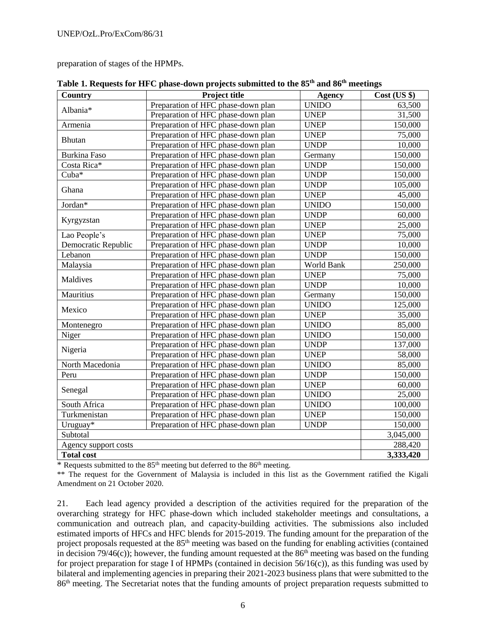preparation of stages of the HPMPs.

| Country              | <b>Project title</b>               | <b>Agency</b> | Cost (US \$) |
|----------------------|------------------------------------|---------------|--------------|
| Albania*             | Preparation of HFC phase-down plan | <b>UNIDO</b>  | 63,500       |
|                      | Preparation of HFC phase-down plan | <b>UNEP</b>   | 31,500       |
| Armenia              | Preparation of HFC phase-down plan | <b>UNEP</b>   | 150,000      |
| Bhutan               | Preparation of HFC phase-down plan | <b>UNEP</b>   | 75,000       |
|                      | Preparation of HFC phase-down plan | <b>UNDP</b>   | 10,000       |
| Burkina Faso         | Preparation of HFC phase-down plan | Germany       | 150,000      |
| Costa Rica*          | Preparation of HFC phase-down plan | <b>UNDP</b>   | 150,000      |
| $Cuba*$              | Preparation of HFC phase-down plan | <b>UNDP</b>   | 150,000      |
| Ghana                | Preparation of HFC phase-down plan | <b>UNDP</b>   | 105,000      |
|                      | Preparation of HFC phase-down plan | <b>UNEP</b>   | 45,000       |
| Jordan*              | Preparation of HFC phase-down plan | <b>UNIDO</b>  | 150,000      |
|                      | Preparation of HFC phase-down plan | <b>UNDP</b>   | 60,000       |
| Kyrgyzstan           | Preparation of HFC phase-down plan | <b>UNEP</b>   | 25,000       |
| Lao People's         | Preparation of HFC phase-down plan | <b>UNEP</b>   | 75,000       |
| Democratic Republic  | Preparation of HFC phase-down plan | <b>UNDP</b>   | 10,000       |
| Lebanon              | Preparation of HFC phase-down plan | <b>UNDP</b>   | 150,000      |
| Malaysia             | Preparation of HFC phase-down plan | World Bank    | 250,000      |
|                      | Preparation of HFC phase-down plan | <b>UNEP</b>   | 75,000       |
| Maldives             | Preparation of HFC phase-down plan | <b>UNDP</b>   | 10,000       |
| Mauritius            | Preparation of HFC phase-down plan | Germany       | 150,000      |
|                      | Preparation of HFC phase-down plan | <b>UNIDO</b>  | 125,000      |
| Mexico               | Preparation of HFC phase-down plan | <b>UNEP</b>   | 35,000       |
| Montenegro           | Preparation of HFC phase-down plan | <b>UNIDO</b>  | 85,000       |
| Niger                | Preparation of HFC phase-down plan | <b>UNIDO</b>  | 150,000      |
|                      | Preparation of HFC phase-down plan | <b>UNDP</b>   | 137,000      |
| Nigeria              | Preparation of HFC phase-down plan | <b>UNEP</b>   | 58,000       |
| North Macedonia      | Preparation of HFC phase-down plan | <b>UNIDO</b>  | 85,000       |
| Peru                 | Preparation of HFC phase-down plan | <b>UNDP</b>   | 150,000      |
|                      | Preparation of HFC phase-down plan | <b>UNEP</b>   | 60,000       |
| Senegal              | Preparation of HFC phase-down plan | <b>UNIDO</b>  | 25,000       |
| South Africa         | Preparation of HFC phase-down plan | <b>UNIDO</b>  | 100,000      |
| Turkmenistan         | Preparation of HFC phase-down plan | <b>UNEP</b>   | 150,000      |
| Uruguay*             | Preparation of HFC phase-down plan | <b>UNDP</b>   | 150,000      |
| Subtotal             |                                    |               | 3,045,000    |
| Agency support costs |                                    |               | 288,420      |
| <b>Total cost</b>    |                                    |               | 3,333,420    |

**Table 1. Requests for HFC phase-down projects submitted to the 85th and 86th meetings** 

\* Requests submitted to the  $85<sup>th</sup>$  meeting but deferred to the  $86<sup>th</sup>$  meeting.

\*\* The request for the Government of Malaysia is included in this list as the Government ratified the Kigali Amendment on 21 October 2020.

21. Each lead agency provided a description of the activities required for the preparation of the overarching strategy for HFC phase-down which included stakeholder meetings and consultations, a communication and outreach plan, and capacity-building activities. The submissions also included estimated imports of HFCs and HFC blends for 2015-2019. The funding amount for the preparation of the project proposals requested at the  $85<sup>th</sup>$  meeting was based on the funding for enabling activities (contained in decision 79/46(c)); however, the funding amount requested at the  $86<sup>th</sup>$  meeting was based on the funding for project preparation for stage I of HPMPs (contained in decision  $56/16(c)$ ), as this funding was used by bilateral and implementing agencies in preparing their 2021-2023 business plans that were submitted to the 86th meeting. The Secretariat notes that the funding amounts of project preparation requests submitted to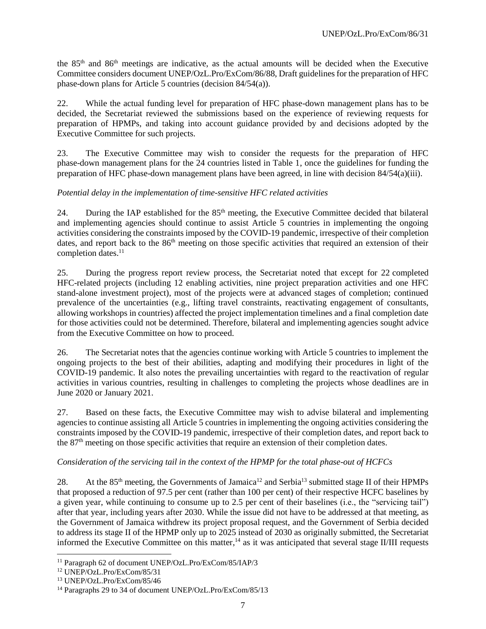the 85th and 86th meetings are indicative, as the actual amounts will be decided when the Executive Committee considers document UNEP/OzL.Pro/ExCom/86/88, Draft guidelines for the preparation of HFC phase-down plans for Article 5 countries (decision 84/54(a)).

22. While the actual funding level for preparation of HFC phase-down management plans has to be decided, the Secretariat reviewed the submissions based on the experience of reviewing requests for preparation of HPMPs, and taking into account guidance provided by and decisions adopted by the Executive Committee for such projects.

23. The Executive Committee may wish to consider the requests for the preparation of HFC phase-down management plans for the 24 countries listed in Table 1, once the guidelines for funding the preparation of HFC phase-down management plans have been agreed, in line with decision 84/54(a)(iii).

### *Potential delay in the implementation of time-sensitive HFC related activities*

24. During the IAP established for the  $85<sup>th</sup>$  meeting, the Executive Committee decided that bilateral and implementing agencies should continue to assist Article 5 countries in implementing the ongoing activities considering the constraints imposed by the COVID-19 pandemic, irrespective of their completion dates, and report back to the 86<sup>th</sup> meeting on those specific activities that required an extension of their completion dates. 11

25. During the progress report review process, the Secretariat noted that except for 22 completed HFC-related projects (including 12 enabling activities, nine project preparation activities and one HFC stand-alone investment project), most of the projects were at advanced stages of completion; continued prevalence of the uncertainties (e.g., lifting travel constraints, reactivating engagement of consultants, allowing workshops in countries) affected the project implementation timelines and a final completion date for those activities could not be determined. Therefore, bilateral and implementing agencies sought advice from the Executive Committee on how to proceed.

26. The Secretariat notes that the agencies continue working with Article 5 countries to implement the ongoing projects to the best of their abilities, adapting and modifying their procedures in light of the COVID-19 pandemic. It also notes the prevailing uncertainties with regard to the reactivation of regular activities in various countries, resulting in challenges to completing the projects whose deadlines are in June 2020 or January 2021.

27. Based on these facts, the Executive Committee may wish to advise bilateral and implementing agencies to continue assisting all Article 5 countries in implementing the ongoing activities considering the constraints imposed by the COVID-19 pandemic, irrespective of their completion dates, and report back to the 87<sup>th</sup> meeting on those specific activities that require an extension of their completion dates.

#### *Consideration of the servicing tail in the context of the HPMP for the total phase-out of HCFCs*

28. At the 85<sup>th</sup> meeting, the Governments of Jamaica<sup>12</sup> and Serbia<sup>13</sup> submitted stage II of their HPMPs that proposed a reduction of 97.5 per cent (rather than 100 per cent) of their respective HCFC baselines by a given year, while continuing to consume up to 2.5 per cent of their baselines (i.e., the "servicing tail") after that year, including years after 2030. While the issue did not have to be addressed at that meeting, as the Government of Jamaica withdrew its project proposal request, and the Government of Serbia decided to address its stage II of the HPMP only up to 2025 instead of 2030 as originally submitted, the Secretariat informed the Executive Committee on this matter,<sup>14</sup> as it was anticipated that several stage II/III requests

l <sup>11</sup> Paragraph 62 of document UNEP/OzL.Pro/ExCom/85/IAP/3

<sup>12</sup> UNEP/OzL.Pro/ExCom/85/31

<sup>13</sup> UNEP/OzL.Pro/ExCom/85/46

<sup>&</sup>lt;sup>14</sup> Paragraphs 29 to 34 of document UNEP/OzL.Pro/ExCom/85/13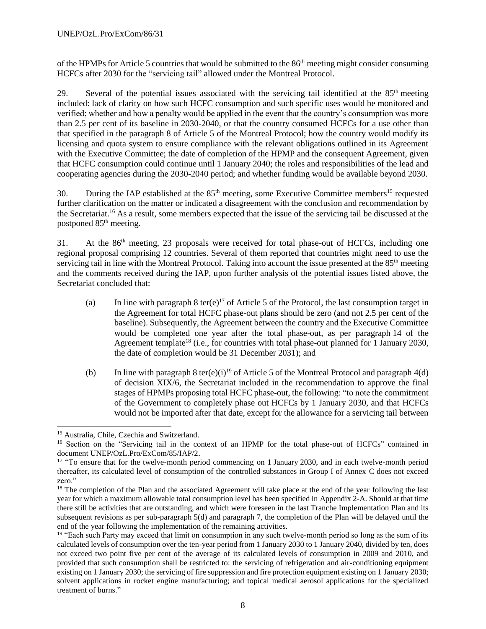of the HPMPs for Article 5 countries that would be submitted to the 86<sup>th</sup> meeting might consider consuming HCFCs after 2030 for the "servicing tail" allowed under the Montreal Protocol.

29. Several of the potential issues associated with the servicing tail identified at the 85<sup>th</sup> meeting included: lack of clarity on how such HCFC consumption and such specific uses would be monitored and verified; whether and how a penalty would be applied in the event that the country's consumption was more than 2.5 per cent of its baseline in 2030-2040, or that the country consumed HCFCs for a use other than that specified in the paragraph 8 of Article 5 of the Montreal Protocol; how the country would modify its licensing and quota system to ensure compliance with the relevant obligations outlined in its Agreement with the Executive Committee; the date of completion of the HPMP and the consequent Agreement, given that HCFC consumption could continue until 1 January 2040; the roles and responsibilities of the lead and cooperating agencies during the 2030-2040 period; and whether funding would be available beyond 2030.

30. During the IAP established at the  $85<sup>th</sup>$  meeting, some Executive Committee members<sup>15</sup> requested further clarification on the matter or indicated a disagreement with the conclusion and recommendation by the Secretariat. <sup>16</sup> As a result, some members expected that the issue of the servicing tail be discussed at the postponed 85th meeting.

31. At the 86<sup>th</sup> meeting, 23 proposals were received for total phase-out of HCFCs, including one regional proposal comprising 12 countries. Several of them reported that countries might need to use the servicing tail in line with the Montreal Protocol. Taking into account the issue presented at the 85<sup>th</sup> meeting and the comments received during the IAP, upon further analysis of the potential issues listed above, the Secretariat concluded that:

- (a) In line with paragraph 8 ter(e)<sup>17</sup> of Article 5 of the Protocol, the last consumption target in the Agreement for total HCFC phase-out plans should be zero (and not 2.5 per cent of the baseline). Subsequently, the Agreement between the country and the Executive Committee would be completed one year after the total phase-out, as per paragraph 14 of the Agreement template<sup>18</sup> (i.e., for countries with total phase-out planned for 1 January 2030, the date of completion would be 31 December 2031); and
- (b) In line with paragraph 8 ter(e)(i)<sup>19</sup> of Article 5 of the Montreal Protocol and paragraph 4(d) of decision XIX/6, the Secretariat included in the recommendation to approve the final stages of HPMPs proposing total HCFC phase-out, the following: "to note the commitment of the Government to completely phase out HCFCs by 1 January 2030, and that HCFCs would not be imported after that date, except for the allowance for a servicing tail between

l

<sup>15</sup> Australia, Chile, Czechia and Switzerland.

<sup>&</sup>lt;sup>16</sup> Section on the "Servicing tail in the context of an HPMP for the total phase-out of HCFCs" contained in document UNEP/OzL.Pro/ExCom/85/IAP/2.

<sup>&</sup>lt;sup>17</sup> "To ensure that for the twelve-month period commencing on 1 January 2030, and in each twelve-month period thereafter, its calculated level of consumption of the controlled substances in Group I of Annex C does not exceed zero."

<sup>&</sup>lt;sup>18</sup> The completion of the Plan and the associated Agreement will take place at the end of the year following the last year for which a maximum allowable total consumption level has been specified in Appendix 2-A. Should at that time there still be activities that are outstanding, and which were foreseen in the last Tranche Implementation Plan and its subsequent revisions as per sub-paragraph 5(d) and paragraph 7, the completion of the Plan will be delayed until the end of the year following the implementation of the remaining activities.

<sup>&</sup>lt;sup>19</sup> "Each such Party may exceed that limit on consumption in any such twelve-month period so long as the sum of its calculated levels of consumption over the ten-year period from 1 January 2030 to 1 January 2040, divided by ten, does not exceed two point five per cent of the average of its calculated levels of consumption in 2009 and 2010, and provided that such consumption shall be restricted to: the servicing of refrigeration and air-conditioning equipment existing on 1 January 2030; the servicing of fire suppression and fire protection equipment existing on 1 January 2030; solvent applications in rocket engine manufacturing; and topical medical aerosol applications for the specialized treatment of burns."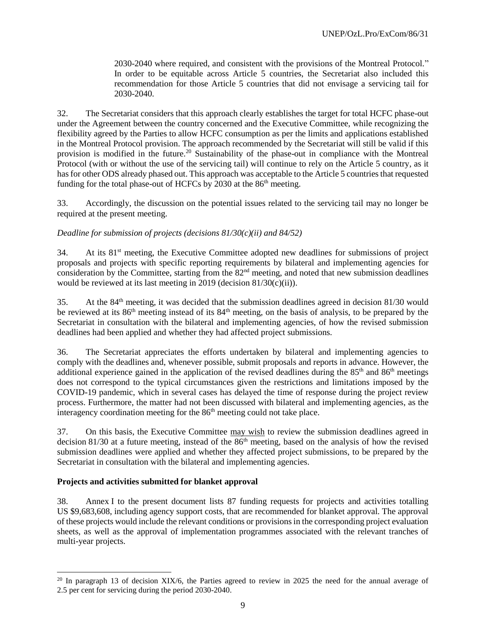2030-2040 where required, and consistent with the provisions of the Montreal Protocol." In order to be equitable across Article 5 countries, the Secretariat also included this recommendation for those Article 5 countries that did not envisage a servicing tail for 2030-2040.

32. The Secretariat considers that this approach clearly establishes the target for total HCFC phase-out under the Agreement between the country concerned and the Executive Committee, while recognizing the flexibility agreed by the Parties to allow HCFC consumption as per the limits and applications established in the Montreal Protocol provision. The approach recommended by the Secretariat will still be valid if this provision is modified in the future.<sup>20</sup> Sustainability of the phase-out in compliance with the Montreal Protocol (with or without the use of the servicing tail) will continue to rely on the Article 5 country, as it has for other ODS already phased out. This approach was acceptable to the Article 5 countries that requested funding for the total phase-out of HCFCs by 2030 at the 86<sup>th</sup> meeting.

33. Accordingly, the discussion on the potential issues related to the servicing tail may no longer be required at the present meeting.

#### *Deadline for submission of projects (decisions 81/30(c)(ii) and 84/52)*

34. At its 81st meeting, the Executive Committee adopted new deadlines for submissions of project proposals and projects with specific reporting requirements by bilateral and implementing agencies for consideration by the Committee, starting from the 82<sup>nd</sup> meeting, and noted that new submission deadlines would be reviewed at its last meeting in 2019 (decision 81/30(c)(ii)).

35. At the  $84<sup>th</sup>$  meeting, it was decided that the submission deadlines agreed in decision 81/30 would be reviewed at its 86th meeting instead of its 84th meeting, on the basis of analysis, to be prepared by the Secretariat in consultation with the bilateral and implementing agencies, of how the revised submission deadlines had been applied and whether they had affected project submissions.

36. The Secretariat appreciates the efforts undertaken by bilateral and implementing agencies to comply with the deadlines and, whenever possible, submit proposals and reports in advance. However, the additional experience gained in the application of the revised deadlines during the  $85<sup>th</sup>$  and  $86<sup>th</sup>$  meetings does not correspond to the typical circumstances given the restrictions and limitations imposed by the COVID-19 pandemic, which in several cases has delayed the time of response during the project review process. Furthermore, the matter had not been discussed with bilateral and implementing agencies, as the interagency coordination meeting for the  $86<sup>th</sup>$  meeting could not take place.

37. On this basis, the Executive Committee may wish to review the submission deadlines agreed in decision 81/30 at a future meeting, instead of the  $86<sup>th</sup>$  meeting, based on the analysis of how the revised submission deadlines were applied and whether they affected project submissions, to be prepared by the Secretariat in consultation with the bilateral and implementing agencies.

#### **Projects and activities submitted for blanket approval**

l

38. Annex I to the present document lists 87 funding requests for projects and activities totalling US \$9,683,608, including agency support costs, that are recommended for blanket approval. The approval of these projects would include the relevant conditions or provisions in the corresponding project evaluation sheets, as well as the approval of implementation programmes associated with the relevant tranches of multi-year projects.

<sup>&</sup>lt;sup>20</sup> In paragraph 13 of decision XIX/6, the Parties agreed to review in 2025 the need for the annual average of 2.5 per cent for servicing during the period 2030-2040.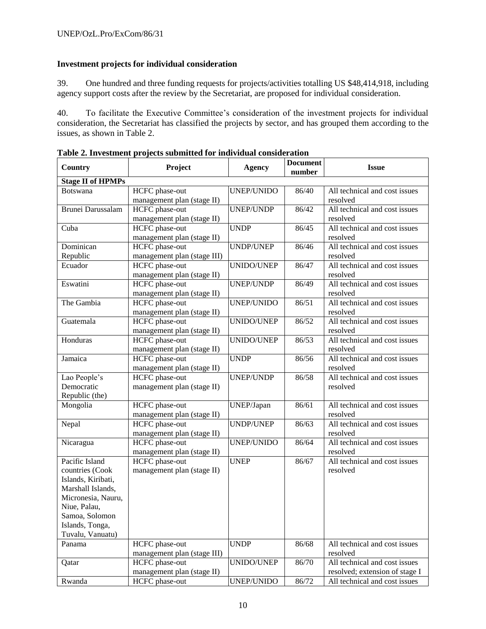### **Investment projects for individual consideration**

39. One hundred and three funding requests for projects/activities totalling US \$48,414,918, including agency support costs after the review by the Secretariat, are proposed for individual consideration.

40. To facilitate the Executive Committee's consideration of the investment projects for individual consideration, the Secretariat has classified the projects by sector, and has grouped them according to the issues, as shown in Table 2.

| Country                  | Project                     | <b>Agency</b>     | <b>Document</b> | <b>Issue</b>                   |
|--------------------------|-----------------------------|-------------------|-----------------|--------------------------------|
|                          |                             |                   | number          |                                |
| <b>Stage II of HPMPs</b> |                             |                   |                 |                                |
| <b>Botswana</b>          | HCFC phase-out              | UNEP/UNIDO        | 86/40           | All technical and cost issues  |
|                          | management plan (stage II)  |                   |                 | resolved                       |
| Brunei Darussalam        | HCFC phase-out              | <b>UNEP/UNDP</b>  | 86/42           | All technical and cost issues  |
|                          | management plan (stage II)  |                   |                 | resolved                       |
| Cuba                     | HCFC phase-out              | <b>UNDP</b>       | 86/45           | All technical and cost issues  |
|                          | management plan (stage II)  |                   |                 | resolved                       |
| Dominican                | HCFC phase-out              | UNDP/UNEP         | 86/46           | All technical and cost issues  |
| Republic                 | management plan (stage III) |                   |                 | resolved                       |
| Ecuador                  | <b>HCFC</b> phase-out       | <b>UNIDO/UNEP</b> | 86/47           | All technical and cost issues  |
|                          | management plan (stage II)  |                   |                 | resolved                       |
| Eswatini                 | HCFC phase-out              | UNEP/UNDP         | 86/49           | All technical and cost issues  |
|                          | management plan (stage II)  |                   |                 | resolved                       |
| The Gambia               | HCFC phase-out              | UNEP/UNIDO        | 86/51           | All technical and cost issues  |
|                          | management plan (stage II)  |                   |                 | resolved                       |
| Guatemala                | HCFC phase-out              | <b>UNIDO/UNEP</b> | 86/52           | All technical and cost issues  |
|                          | management plan (stage II)  |                   |                 | resolved                       |
| Honduras                 | HCFC phase-out              | UNIDO/UNEP        | 86/53           | All technical and cost issues  |
|                          | management plan (stage II)  |                   |                 | resolved                       |
| Jamaica                  | HCFC phase-out              | <b>UNDP</b>       | 86/56           | All technical and cost issues  |
|                          | management plan (stage II)  |                   |                 | resolved                       |
| Lao People's             | HCFC phase-out              | UNEP/UNDP         | 86/58           | All technical and cost issues  |
| Democratic               | management plan (stage II)  |                   |                 | resolved                       |
| Republic (the)           |                             |                   |                 |                                |
| Mongolia                 | HCFC phase-out              | UNEP/Japan        | 86/61           | All technical and cost issues  |
|                          | management plan (stage II)  |                   |                 | resolved                       |
| Nepal                    | <b>HCFC</b> phase-out       | <b>UNDP/UNEP</b>  | 86/63           | All technical and cost issues  |
|                          | management plan (stage II)  |                   |                 | resolved                       |
| Nicaragua                | HCFC phase-out              | UNEP/UNIDO        | 86/64           | All technical and cost issues  |
|                          | management plan (stage II)  |                   |                 | resolved                       |
| Pacific Island           | <b>HCFC</b> phase-out       | <b>UNEP</b>       | 86/67           | All technical and cost issues  |
| countries (Cook          | management plan (stage II)  |                   |                 | resolved                       |
| Islands, Kiribati,       |                             |                   |                 |                                |
| Marshall Islands,        |                             |                   |                 |                                |
| Micronesia, Nauru,       |                             |                   |                 |                                |
| Niue, Palau,             |                             |                   |                 |                                |
| Samoa, Solomon           |                             |                   |                 |                                |
| Islands, Tonga,          |                             |                   |                 |                                |
| Tuvalu, Vanuatu)         |                             |                   |                 |                                |
| Panama                   | HCFC phase-out              | <b>UNDP</b>       | 86/68           | All technical and cost issues  |
|                          | management plan (stage III) |                   |                 | resolved                       |
| Qatar                    | HCFC phase-out              | UNIDO/UNEP        | 86/70           | All technical and cost issues  |
|                          | management plan (stage II)  |                   |                 | resolved; extension of stage I |
| Rwanda                   | HCFC phase-out              | UNEP/UNIDO        | 86/72           | All technical and cost issues  |

**Table 2. Investment projects submitted for individual consideration**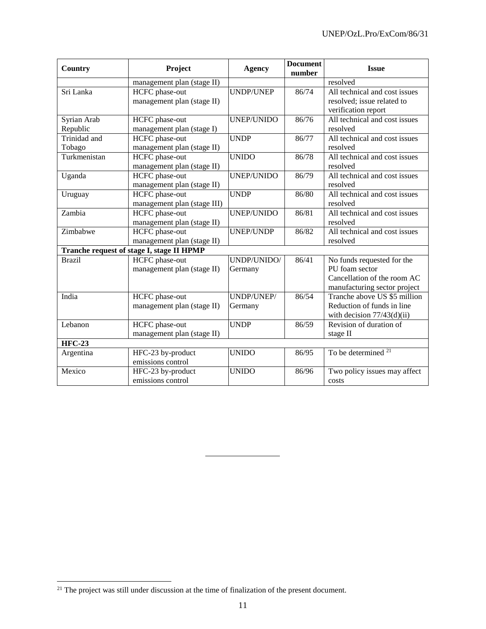| <b>Country</b> | Project                                   | <b>Agency</b>     | <b>Document</b><br>number | <b>Issue</b>                   |
|----------------|-------------------------------------------|-------------------|---------------------------|--------------------------------|
|                | management plan (stage II)                |                   |                           | resolved                       |
| Sri Lanka      | HCFC phase-out                            | <b>UNDP/UNEP</b>  | 86/74                     | All technical and cost issues  |
|                | management plan (stage II)                |                   |                           | resolved; issue related to     |
|                |                                           |                   |                           | verification report            |
| Syrian Arab    | HCFC phase-out                            | <b>UNEP/UNIDO</b> | 86/76                     | All technical and cost issues  |
| Republic       | management plan (stage I)                 |                   |                           | resolved                       |
| Trinidad and   | <b>HCFC</b> phase-out                     | <b>UNDP</b>       | 86/77                     | All technical and cost issues  |
| Tobago         | management plan (stage II)                |                   |                           | resolved                       |
| Turkmenistan   | HCFC phase-out                            | <b>UNIDO</b>      | 86/78                     | All technical and cost issues  |
|                | management plan (stage II)                |                   |                           | resolved                       |
| Uganda         | HCFC phase-out                            | <b>UNEP/UNIDO</b> | 86/79                     | All technical and cost issues  |
|                | management plan (stage II)                |                   |                           | resolved                       |
| Uruguay        | HCFC phase-out                            | <b>UNDP</b>       | 86/80                     | All technical and cost issues  |
|                | management plan (stage III)               |                   |                           | resolved                       |
| Zambia         | <b>HCFC</b> phase-out                     | <b>UNEP/UNIDO</b> | 86/81                     | All technical and cost issues  |
|                | management plan (stage II)                |                   |                           | resolved                       |
| Zimbabwe       | HCFC phase-out                            | <b>UNEP/UNDP</b>  | 86/82                     | All technical and cost issues  |
|                | management plan (stage II)                |                   |                           | resolved                       |
|                | Tranche request of stage I, stage II HPMP |                   |                           |                                |
| <b>Brazil</b>  | HCFC phase-out                            | UNDP/UNIDO/       | 86/41                     | No funds requested for the     |
|                | management plan (stage II)                | Germany           |                           | PU foam sector                 |
|                |                                           |                   |                           | Cancellation of the room AC    |
|                |                                           |                   |                           | manufacturing sector project   |
| India          | HCFC phase-out                            | UNDP/UNEP/        | 86/54                     | Tranche above US \$5 million   |
|                | management plan (stage II)                | Germany           |                           | Reduction of funds in line     |
|                |                                           |                   |                           | with decision $77/43(d)(ii)$   |
| Lebanon        | HCFC phase-out                            | <b>UNDP</b>       | 86/59                     | Revision of duration of        |
|                | management plan (stage II)                |                   |                           | stage II                       |
| <b>HFC-23</b>  |                                           |                   |                           |                                |
| Argentina      | HFC-23 by-product                         | <b>UNIDO</b>      | 86/95                     | To be determined <sup>21</sup> |
|                | emissions control                         |                   |                           |                                |
| Mexico         | HFC-23 by-product                         | <b>UNIDO</b>      | 86/96                     | Two policy issues may affect   |
|                | emissions control                         |                   |                           | costs                          |

 $\overline{a}$  $21$  The project was still under discussion at the time of finalization of the present document.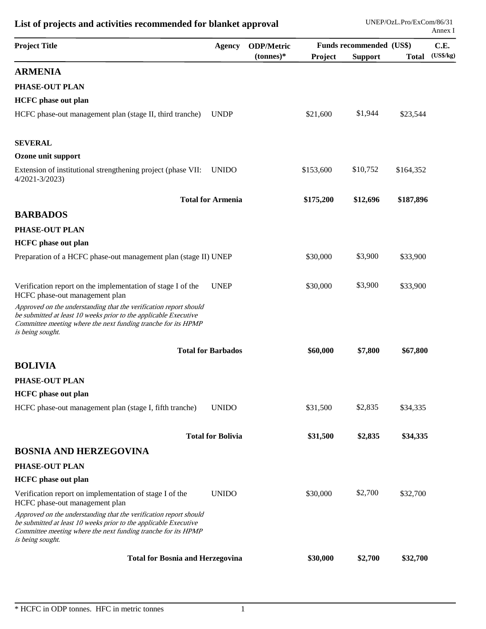| <b>Project Title</b>                                                                                                                                                                                                       | <b>Agency</b>             | <b>ODP/Metric</b> |           | Funds recommended (US\$) |              | C.E.      |
|----------------------------------------------------------------------------------------------------------------------------------------------------------------------------------------------------------------------------|---------------------------|-------------------|-----------|--------------------------|--------------|-----------|
|                                                                                                                                                                                                                            |                           | $(tonnes)*$       | Project   | <b>Support</b>           | <b>Total</b> | (US\$/kg) |
| <b>ARMENIA</b>                                                                                                                                                                                                             |                           |                   |           |                          |              |           |
| PHASE-OUT PLAN                                                                                                                                                                                                             |                           |                   |           |                          |              |           |
| <b>HCFC</b> phase out plan                                                                                                                                                                                                 |                           |                   |           |                          |              |           |
| HCFC phase-out management plan (stage II, third tranche)                                                                                                                                                                   | <b>UNDP</b>               |                   | \$21,600  | \$1,944                  | \$23,544     |           |
| <b>SEVERAL</b>                                                                                                                                                                                                             |                           |                   |           |                          |              |           |
| Ozone unit support                                                                                                                                                                                                         |                           |                   |           |                          |              |           |
| Extension of institutional strengthening project (phase VII:<br>$4/2021 - 3/2023$                                                                                                                                          | <b>UNIDO</b>              |                   | \$153,600 | \$10,752                 | \$164,352    |           |
|                                                                                                                                                                                                                            | <b>Total for Armenia</b>  |                   | \$175,200 | \$12,696                 | \$187,896    |           |
| <b>BARBADOS</b>                                                                                                                                                                                                            |                           |                   |           |                          |              |           |
| PHASE-OUT PLAN                                                                                                                                                                                                             |                           |                   |           |                          |              |           |
| <b>HCFC</b> phase out plan                                                                                                                                                                                                 |                           |                   |           |                          |              |           |
| Preparation of a HCFC phase-out management plan (stage II) UNEP                                                                                                                                                            |                           |                   | \$30,000  | \$3,900                  | \$33,900     |           |
| Verification report on the implementation of stage I of the<br>HCFC phase-out management plan                                                                                                                              | <b>UNEP</b>               |                   | \$30,000  | \$3,900                  | \$33,900     |           |
| Approved on the understanding that the verification report should<br>be submitted at least 10 weeks prior to the applicable Executive<br>Committee meeting where the next funding tranche for its HPMP<br>is being sought. |                           |                   |           |                          |              |           |
|                                                                                                                                                                                                                            | <b>Total for Barbados</b> |                   | \$60,000  | \$7,800                  | \$67,800     |           |
| <b>BOLIVIA</b>                                                                                                                                                                                                             |                           |                   |           |                          |              |           |
| PHASE-OUT PLAN                                                                                                                                                                                                             |                           |                   |           |                          |              |           |
| <b>HCFC</b> phase out plan                                                                                                                                                                                                 |                           |                   |           |                          |              |           |
| HCFC phase-out management plan (stage I, fifth tranche)                                                                                                                                                                    | <b>UNIDO</b>              |                   | \$31,500  | \$2,835                  | \$34,335     |           |
|                                                                                                                                                                                                                            | <b>Total for Bolivia</b>  |                   | \$31,500  | \$2,835                  | \$34,335     |           |
| <b>BOSNIA AND HERZEGOVINA</b>                                                                                                                                                                                              |                           |                   |           |                          |              |           |
| <b>PHASE-OUT PLAN</b>                                                                                                                                                                                                      |                           |                   |           |                          |              |           |
| <b>HCFC</b> phase out plan                                                                                                                                                                                                 |                           |                   |           |                          |              |           |
| Verification report on implementation of stage I of the<br>HCFC phase-out management plan                                                                                                                                  | <b>UNIDO</b>              |                   | \$30,000  | \$2,700                  | \$32,700     |           |
| Approved on the understanding that the verification report should<br>be submitted at least 10 weeks prior to the applicable Executive<br>Committee meeting where the next funding tranche for its HPMP<br>is being sought. |                           |                   |           |                          |              |           |
| <b>Total for Bosnia and Herzegovina</b>                                                                                                                                                                                    |                           |                   | \$30,000  | \$2,700                  | \$32,700     |           |
|                                                                                                                                                                                                                            |                           |                   |           |                          |              |           |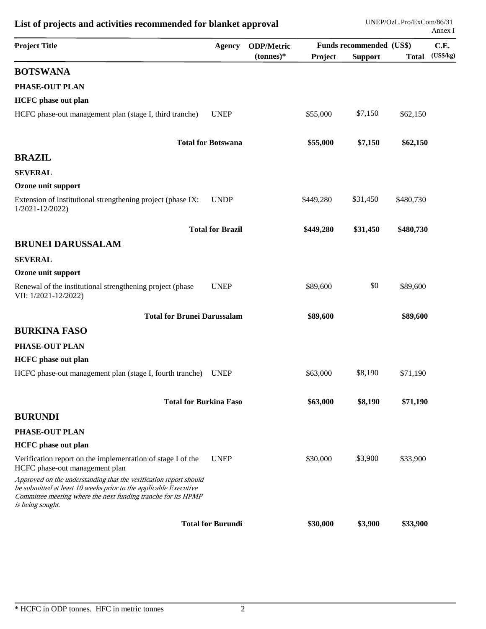| <b>Project Title</b>                                                                                                                                                                                                       | <b>Agency</b>             | <b>ODP/Metric</b> | <b>Funds recommended (US\$)</b> |                |              | C.E.      |
|----------------------------------------------------------------------------------------------------------------------------------------------------------------------------------------------------------------------------|---------------------------|-------------------|---------------------------------|----------------|--------------|-----------|
|                                                                                                                                                                                                                            |                           | $(tonnes)*$       | Project                         | <b>Support</b> | <b>Total</b> | (US\$/kg) |
| <b>BOTSWANA</b>                                                                                                                                                                                                            |                           |                   |                                 |                |              |           |
| PHASE-OUT PLAN                                                                                                                                                                                                             |                           |                   |                                 |                |              |           |
| <b>HCFC</b> phase out plan                                                                                                                                                                                                 |                           |                   |                                 |                |              |           |
| HCFC phase-out management plan (stage I, third tranche)                                                                                                                                                                    | <b>UNEP</b>               |                   | \$55,000                        | \$7,150        | \$62,150     |           |
|                                                                                                                                                                                                                            | <b>Total for Botswana</b> |                   | \$55,000                        | \$7,150        | \$62,150     |           |
| <b>BRAZIL</b>                                                                                                                                                                                                              |                           |                   |                                 |                |              |           |
| <b>SEVERAL</b>                                                                                                                                                                                                             |                           |                   |                                 |                |              |           |
| Ozone unit support                                                                                                                                                                                                         |                           |                   |                                 |                |              |           |
| Extension of institutional strengthening project (phase IX:<br>$1/2021 - 12/2022$                                                                                                                                          | <b>UNDP</b>               |                   | \$449,280                       | \$31,450       | \$480,730    |           |
|                                                                                                                                                                                                                            | <b>Total for Brazil</b>   |                   | \$449,280                       | \$31,450       | \$480,730    |           |
| <b>BRUNEI DARUSSALAM</b>                                                                                                                                                                                                   |                           |                   |                                 |                |              |           |
| <b>SEVERAL</b>                                                                                                                                                                                                             |                           |                   |                                 |                |              |           |
| Ozone unit support                                                                                                                                                                                                         |                           |                   |                                 |                |              |           |
| Renewal of the institutional strengthening project (phase<br>VII: 1/2021-12/2022)                                                                                                                                          | <b>UNEP</b>               |                   | \$89,600                        | \$0            | \$89,600     |           |
| <b>Total for Brunei Darussalam</b>                                                                                                                                                                                         |                           |                   | \$89,600                        |                | \$89,600     |           |
| <b>BURKINA FASO</b>                                                                                                                                                                                                        |                           |                   |                                 |                |              |           |
| PHASE-OUT PLAN                                                                                                                                                                                                             |                           |                   |                                 |                |              |           |
| <b>HCFC</b> phase out plan                                                                                                                                                                                                 |                           |                   |                                 |                |              |           |
| HCFC phase-out management plan (stage I, fourth tranche)                                                                                                                                                                   | <b>UNEP</b>               |                   | \$63,000                        | \$8,190        | \$71,190     |           |
| <b>Total for Burkina Faso</b>                                                                                                                                                                                              |                           |                   | \$63,000                        | \$8,190        | \$71,190     |           |
| <b>BURUNDI</b>                                                                                                                                                                                                             |                           |                   |                                 |                |              |           |
| PHASE-OUT PLAN                                                                                                                                                                                                             |                           |                   |                                 |                |              |           |
| <b>HCFC</b> phase out plan                                                                                                                                                                                                 |                           |                   |                                 |                |              |           |
| Verification report on the implementation of stage I of the<br>HCFC phase-out management plan                                                                                                                              | <b>UNEP</b>               |                   | \$30,000                        | \$3,900        | \$33,900     |           |
| Approved on the understanding that the verification report should<br>be submitted at least 10 weeks prior to the applicable Executive<br>Committee meeting where the next funding tranche for its HPMP<br>is being sought. |                           |                   |                                 |                |              |           |
|                                                                                                                                                                                                                            | <b>Total for Burundi</b>  |                   | \$30,000                        | \$3,900        | \$33,900     |           |
|                                                                                                                                                                                                                            |                           |                   |                                 |                |              |           |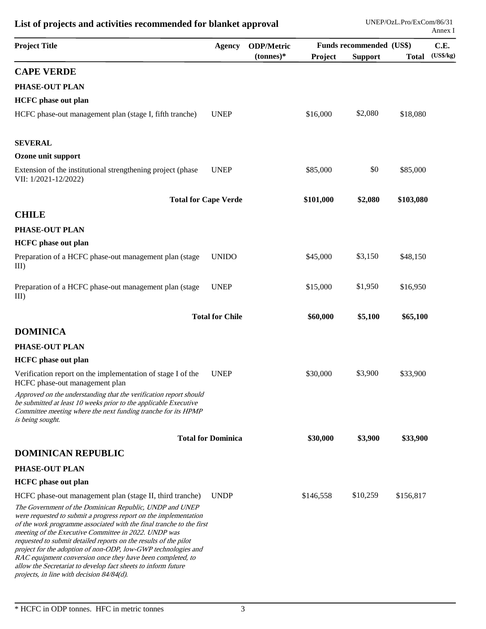| <b>Project Title</b>                                                                                                                                                                                                                                                                                                                                                                                                                                                                                                                                                         |                           | <b>ODP/Metric</b><br><b>Agency</b> |           | Funds recommended (US\$) |              |           |
|------------------------------------------------------------------------------------------------------------------------------------------------------------------------------------------------------------------------------------------------------------------------------------------------------------------------------------------------------------------------------------------------------------------------------------------------------------------------------------------------------------------------------------------------------------------------------|---------------------------|------------------------------------|-----------|--------------------------|--------------|-----------|
|                                                                                                                                                                                                                                                                                                                                                                                                                                                                                                                                                                              |                           | $(tonnes)*$                        | Project   | <b>Support</b>           | <b>Total</b> | (US\$/kg) |
| <b>CAPE VERDE</b>                                                                                                                                                                                                                                                                                                                                                                                                                                                                                                                                                            |                           |                                    |           |                          |              |           |
| PHASE-OUT PLAN                                                                                                                                                                                                                                                                                                                                                                                                                                                                                                                                                               |                           |                                    |           |                          |              |           |
| <b>HCFC</b> phase out plan                                                                                                                                                                                                                                                                                                                                                                                                                                                                                                                                                   |                           |                                    |           |                          |              |           |
| HCFC phase-out management plan (stage I, fifth tranche)                                                                                                                                                                                                                                                                                                                                                                                                                                                                                                                      | <b>UNEP</b>               |                                    | \$16,000  | \$2,080                  | \$18,080     |           |
| <b>SEVERAL</b>                                                                                                                                                                                                                                                                                                                                                                                                                                                                                                                                                               |                           |                                    |           |                          |              |           |
| Ozone unit support                                                                                                                                                                                                                                                                                                                                                                                                                                                                                                                                                           |                           |                                    |           |                          |              |           |
| Extension of the institutional strengthening project (phase<br>VII: 1/2021-12/2022)                                                                                                                                                                                                                                                                                                                                                                                                                                                                                          | <b>UNEP</b>               |                                    | \$85,000  | \$0                      | \$85,000     |           |
| <b>Total for Cape Verde</b>                                                                                                                                                                                                                                                                                                                                                                                                                                                                                                                                                  |                           |                                    | \$101,000 | \$2,080                  | \$103,080    |           |
| <b>CHILE</b>                                                                                                                                                                                                                                                                                                                                                                                                                                                                                                                                                                 |                           |                                    |           |                          |              |           |
| PHASE-OUT PLAN                                                                                                                                                                                                                                                                                                                                                                                                                                                                                                                                                               |                           |                                    |           |                          |              |           |
| <b>HCFC</b> phase out plan                                                                                                                                                                                                                                                                                                                                                                                                                                                                                                                                                   |                           |                                    |           |                          |              |           |
| Preparation of a HCFC phase-out management plan (stage<br>$III$ )                                                                                                                                                                                                                                                                                                                                                                                                                                                                                                            | <b>UNIDO</b>              |                                    | \$45,000  | \$3,150                  | \$48,150     |           |
| Preparation of a HCFC phase-out management plan (stage<br>$III$ )                                                                                                                                                                                                                                                                                                                                                                                                                                                                                                            | <b>UNEP</b>               |                                    | \$15,000  | \$1,950                  | \$16,950     |           |
|                                                                                                                                                                                                                                                                                                                                                                                                                                                                                                                                                                              | <b>Total for Chile</b>    |                                    | \$60,000  | \$5,100                  | \$65,100     |           |
| <b>DOMINICA</b>                                                                                                                                                                                                                                                                                                                                                                                                                                                                                                                                                              |                           |                                    |           |                          |              |           |
| PHASE-OUT PLAN                                                                                                                                                                                                                                                                                                                                                                                                                                                                                                                                                               |                           |                                    |           |                          |              |           |
| <b>HCFC</b> phase out plan                                                                                                                                                                                                                                                                                                                                                                                                                                                                                                                                                   |                           |                                    |           |                          |              |           |
| Verification report on the implementation of stage I of the<br>HCFC phase-out management plan                                                                                                                                                                                                                                                                                                                                                                                                                                                                                | <b>UNEP</b>               |                                    | \$30,000  | \$3,900                  | \$33,900     |           |
| Approved on the understanding that the verification report should<br>be submitted at least 10 weeks prior to the applicable Executive<br>Committee meeting where the next funding tranche for its HPMP<br>is being sought.                                                                                                                                                                                                                                                                                                                                                   |                           |                                    |           |                          |              |           |
|                                                                                                                                                                                                                                                                                                                                                                                                                                                                                                                                                                              | <b>Total for Dominica</b> |                                    | \$30,000  | \$3,900                  | \$33,900     |           |
| <b>DOMINICAN REPUBLIC</b>                                                                                                                                                                                                                                                                                                                                                                                                                                                                                                                                                    |                           |                                    |           |                          |              |           |
| PHASE-OUT PLAN                                                                                                                                                                                                                                                                                                                                                                                                                                                                                                                                                               |                           |                                    |           |                          |              |           |
| <b>HCFC</b> phase out plan                                                                                                                                                                                                                                                                                                                                                                                                                                                                                                                                                   |                           |                                    |           |                          |              |           |
| HCFC phase-out management plan (stage II, third tranche)                                                                                                                                                                                                                                                                                                                                                                                                                                                                                                                     | <b>UNDP</b>               |                                    | \$146,558 | \$10,259                 | \$156,817    |           |
| The Government of the Dominican Republic, UNDP and UNEP<br>were requested to submit a progress report on the implementation<br>of the work programme associated with the final tranche to the first<br>meeting of the Executive Committee in 2022. UNDP was<br>requested to submit detailed reports on the results of the pilot<br>project for the adoption of non-ODP, low-GWP technologies and<br>RAC equipment conversion once they have been completed, to<br>allow the Secretariat to develop fact sheets to inform future<br>projects, in line with decision 84/84(d). |                           |                                    |           |                          |              |           |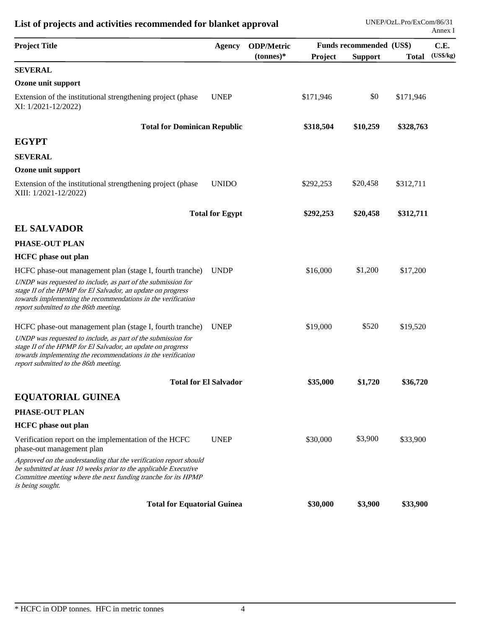| <b>Agency</b>                                                     | <b>ODP/Metric</b>                  |           |                |              | C.E.                                 |
|-------------------------------------------------------------------|------------------------------------|-----------|----------------|--------------|--------------------------------------|
|                                                                   | $(tonnes)*$                        | Project   | <b>Support</b> | <b>Total</b> | (US\$/kg)                            |
|                                                                   |                                    |           |                |              |                                      |
|                                                                   |                                    |           |                |              |                                      |
| <b>UNEP</b>                                                       |                                    | \$171,946 | \$0            | \$171,946    |                                      |
| <b>Total for Dominican Republic</b>                               |                                    | \$318,504 | \$10,259       | \$328,763    |                                      |
|                                                                   |                                    |           |                |              |                                      |
|                                                                   |                                    |           |                |              |                                      |
|                                                                   |                                    |           |                |              |                                      |
| <b>UNIDO</b>                                                      |                                    | \$292,253 | \$20,458       | \$312,711    |                                      |
| <b>Total for Egypt</b>                                            |                                    | \$292,253 | \$20,458       | \$312,711    |                                      |
|                                                                   |                                    |           |                |              |                                      |
|                                                                   |                                    |           |                |              |                                      |
|                                                                   |                                    |           |                |              |                                      |
| <b>UNDP</b>                                                       |                                    | \$16,000  | \$1,200        | \$17,200     |                                      |
|                                                                   |                                    |           |                |              |                                      |
| <b>UNEP</b>                                                       |                                    | \$19,000  | \$520          | \$19,520     |                                      |
|                                                                   |                                    |           |                |              |                                      |
| <b>Total for El Salvador</b>                                      |                                    | \$35,000  | \$1,720        | \$36,720     |                                      |
|                                                                   |                                    |           |                |              |                                      |
|                                                                   |                                    |           |                |              |                                      |
|                                                                   |                                    |           |                |              |                                      |
| <b>UNEP</b>                                                       |                                    | \$30,000  | \$3,900        | \$33,900     |                                      |
| Approved on the understanding that the verification report should |                                    |           |                |              |                                      |
|                                                                   |                                    |           |                |              |                                      |
|                                                                   | <b>Total for Equatorial Guinea</b> |           | \$30,000       | \$3,900      | Funds recommended (US\$)<br>\$33,900 |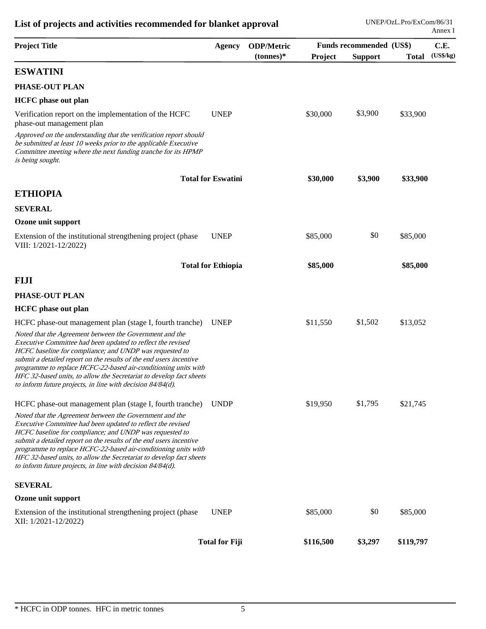| <b>Project Title</b>                                                                                                                                                                                                                                                                                                                                                                                                                                              | <b>Agency</b>             | <b>ODP/Metric</b> |           | Funds recommended (US\$) |              | C.E.      |
|-------------------------------------------------------------------------------------------------------------------------------------------------------------------------------------------------------------------------------------------------------------------------------------------------------------------------------------------------------------------------------------------------------------------------------------------------------------------|---------------------------|-------------------|-----------|--------------------------|--------------|-----------|
|                                                                                                                                                                                                                                                                                                                                                                                                                                                                   |                           | $(tonnes)*$       | Project   | <b>Support</b>           | <b>Total</b> | (US\$/kg) |
| <b>ESWATINI</b>                                                                                                                                                                                                                                                                                                                                                                                                                                                   |                           |                   |           |                          |              |           |
| PHASE-OUT PLAN                                                                                                                                                                                                                                                                                                                                                                                                                                                    |                           |                   |           |                          |              |           |
| <b>HCFC</b> phase out plan                                                                                                                                                                                                                                                                                                                                                                                                                                        |                           |                   |           |                          |              |           |
| Verification report on the implementation of the HCFC<br>phase-out management plan                                                                                                                                                                                                                                                                                                                                                                                | <b>UNEP</b>               |                   | \$30,000  | \$3,900                  | \$33,900     |           |
| Approved on the understanding that the verification report should<br>be submitted at least 10 weeks prior to the applicable Executive<br>Committee meeting where the next funding tranche for its HPMP<br>is being sought.                                                                                                                                                                                                                                        |                           |                   |           |                          |              |           |
|                                                                                                                                                                                                                                                                                                                                                                                                                                                                   | <b>Total for Eswatini</b> |                   | \$30,000  | \$3,900                  | \$33,900     |           |
| <b>ETHIOPIA</b>                                                                                                                                                                                                                                                                                                                                                                                                                                                   |                           |                   |           |                          |              |           |
| <b>SEVERAL</b>                                                                                                                                                                                                                                                                                                                                                                                                                                                    |                           |                   |           |                          |              |           |
| Ozone unit support                                                                                                                                                                                                                                                                                                                                                                                                                                                |                           |                   |           |                          |              |           |
| Extension of the institutional strengthening project (phase<br>VIII: 1/2021-12/2022)                                                                                                                                                                                                                                                                                                                                                                              | <b>UNEP</b>               |                   | \$85,000  | \$0                      | \$85,000     |           |
|                                                                                                                                                                                                                                                                                                                                                                                                                                                                   | <b>Total for Ethiopia</b> |                   | \$85,000  |                          | \$85,000     |           |
| <b>FIJI</b>                                                                                                                                                                                                                                                                                                                                                                                                                                                       |                           |                   |           |                          |              |           |
| PHASE-OUT PLAN                                                                                                                                                                                                                                                                                                                                                                                                                                                    |                           |                   |           |                          |              |           |
| <b>HCFC</b> phase out plan                                                                                                                                                                                                                                                                                                                                                                                                                                        |                           |                   |           |                          |              |           |
| HCFC phase-out management plan (stage I, fourth tranche)                                                                                                                                                                                                                                                                                                                                                                                                          | <b>UNEP</b>               |                   | \$11,550  | \$1,502                  | \$13,052     |           |
| Noted that the Agreement between the Government and the<br>Executive Committee had been updated to reflect the revised<br>HCFC baseline for compliance; and UNDP was requested to<br>submit a detailed report on the results of the end users incentive<br>programme to replace HCFC-22-based air-conditioning units with<br>HFC 32-based units, to allow the Secretariat to develop fact sheets<br>to inform future projects, in line with decision $84/84(d)$ . |                           |                   |           |                          |              |           |
| HCFC phase-out management plan (stage I, fourth tranche)                                                                                                                                                                                                                                                                                                                                                                                                          | <b>UNDP</b>               |                   | \$19,950  | \$1,795                  | \$21,745     |           |
| Noted that the Agreement between the Government and the<br>Executive Committee had been updated to reflect the revised<br>HCFC baseline for compliance; and UNDP was requested to<br>submit a detailed report on the results of the end users incentive<br>programme to replace HCFC-22-based air-conditioning units with<br>HFC 32-based units, to allow the Secretariat to develop fact sheets<br>to inform future projects, in line with decision $84/84(d)$ . |                           |                   |           |                          |              |           |
| <b>SEVERAL</b>                                                                                                                                                                                                                                                                                                                                                                                                                                                    |                           |                   |           |                          |              |           |
| Ozone unit support                                                                                                                                                                                                                                                                                                                                                                                                                                                |                           |                   |           |                          |              |           |
| Extension of the institutional strengthening project (phase<br>XII: 1/2021-12/2022)                                                                                                                                                                                                                                                                                                                                                                               | <b>UNEP</b>               |                   | \$85,000  | \$0                      | \$85,000     |           |
|                                                                                                                                                                                                                                                                                                                                                                                                                                                                   | <b>Total for Fiji</b>     |                   | \$116,500 | \$3,297                  | \$119,797    |           |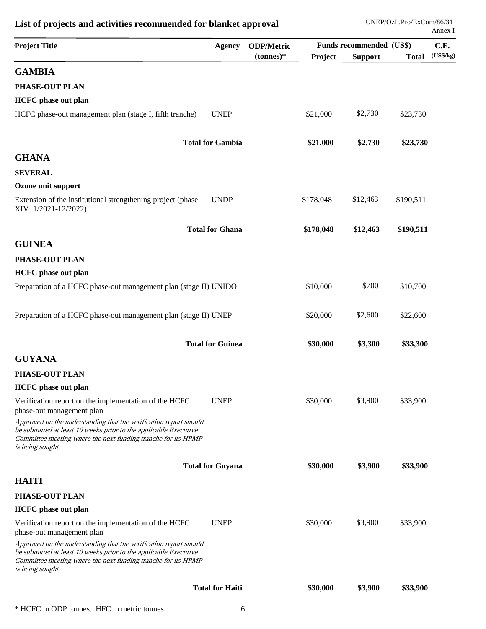| <b>UNEP</b><br>HCFC phase-out management plan (stage I, fifth tranche)<br><b>Total for Gambia</b>                                                                                                      | $(tonnes)*$ | Project<br>\$21,000<br>\$21,000 | <b>Support</b><br>\$2,730<br>\$2,730 | <b>Total</b><br>\$23,730 | (US\$/kg) |
|--------------------------------------------------------------------------------------------------------------------------------------------------------------------------------------------------------|-------------|---------------------------------|--------------------------------------|--------------------------|-----------|
|                                                                                                                                                                                                        |             |                                 |                                      |                          |           |
|                                                                                                                                                                                                        |             |                                 |                                      |                          |           |
|                                                                                                                                                                                                        |             |                                 |                                      |                          |           |
|                                                                                                                                                                                                        |             |                                 |                                      |                          |           |
|                                                                                                                                                                                                        |             |                                 |                                      |                          |           |
|                                                                                                                                                                                                        |             |                                 |                                      | \$23,730                 |           |
|                                                                                                                                                                                                        |             |                                 |                                      |                          |           |
|                                                                                                                                                                                                        |             |                                 |                                      |                          |           |
|                                                                                                                                                                                                        |             |                                 |                                      |                          |           |
| <b>UNDP</b><br>Extension of the institutional strengthening project (phase                                                                                                                             |             | \$178,048                       | \$12,463                             | \$190,511                |           |
| <b>Total for Ghana</b>                                                                                                                                                                                 |             | \$178,048                       | \$12,463                             | \$190,511                |           |
|                                                                                                                                                                                                        |             |                                 |                                      |                          |           |
|                                                                                                                                                                                                        |             |                                 |                                      |                          |           |
|                                                                                                                                                                                                        |             |                                 |                                      |                          |           |
| Preparation of a HCFC phase-out management plan (stage II) UNIDO                                                                                                                                       |             | \$10,000                        | \$700                                | \$10,700                 |           |
| Preparation of a HCFC phase-out management plan (stage II) UNEP                                                                                                                                        |             | \$20,000                        | \$2,600                              | \$22,600                 |           |
| <b>Total for Guinea</b>                                                                                                                                                                                |             | \$30,000                        | \$3,300                              | \$33,300                 |           |
|                                                                                                                                                                                                        |             |                                 |                                      |                          |           |
|                                                                                                                                                                                                        |             |                                 |                                      |                          |           |
|                                                                                                                                                                                                        |             |                                 |                                      |                          |           |
| <b>UNEP</b>                                                                                                                                                                                            |             | \$30,000                        | \$3,900                              | \$33,900                 |           |
| Approved on the understanding that the verification report should<br>be submitted at least 10 weeks prior to the applicable Executive<br>Committee meeting where the next funding tranche for its HPMP |             |                                 |                                      |                          |           |
| <b>Total for Guyana</b>                                                                                                                                                                                |             | \$30,000                        | \$3,900                              | \$33,900                 |           |
|                                                                                                                                                                                                        |             |                                 |                                      |                          |           |
|                                                                                                                                                                                                        |             |                                 |                                      |                          |           |
|                                                                                                                                                                                                        |             |                                 |                                      |                          |           |
| <b>UNEP</b>                                                                                                                                                                                            |             | \$30,000                        | \$3,900                              | \$33,900                 |           |
| Approved on the understanding that the verification report should<br>be submitted at least 10 weeks prior to the applicable Executive<br>Committee meeting where the next funding tranche for its HPMP |             |                                 |                                      |                          |           |
| <b>Total for Haiti</b>                                                                                                                                                                                 |             | \$30,000                        | \$3,900                              | \$33,900                 |           |
|                                                                                                                                                                                                        |             |                                 |                                      |                          |           |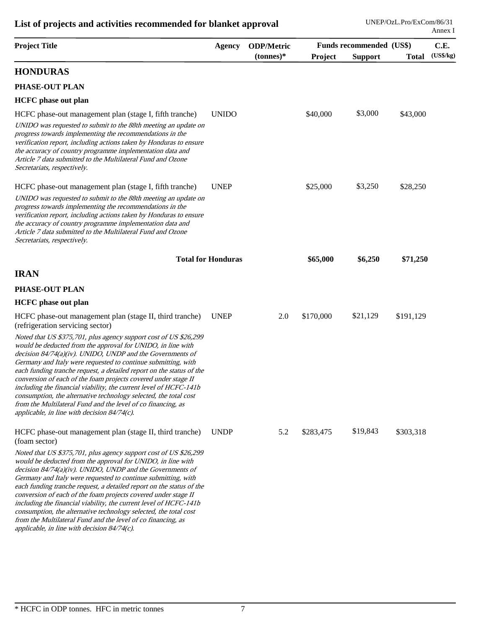| <b>Project Title</b>                                                                                                                                                                                                                                                                                                                                                                                                                                                                                                                                                                                                                                                  |                           | <b>ODP/Metric</b><br><b>Agency</b> |           | Funds recommended (US\$) |              |           |
|-----------------------------------------------------------------------------------------------------------------------------------------------------------------------------------------------------------------------------------------------------------------------------------------------------------------------------------------------------------------------------------------------------------------------------------------------------------------------------------------------------------------------------------------------------------------------------------------------------------------------------------------------------------------------|---------------------------|------------------------------------|-----------|--------------------------|--------------|-----------|
|                                                                                                                                                                                                                                                                                                                                                                                                                                                                                                                                                                                                                                                                       |                           | $(tonnes)*$                        | Project   | <b>Support</b>           | <b>Total</b> | (US\$/kg) |
| <b>HONDURAS</b>                                                                                                                                                                                                                                                                                                                                                                                                                                                                                                                                                                                                                                                       |                           |                                    |           |                          |              |           |
| PHASE-OUT PLAN                                                                                                                                                                                                                                                                                                                                                                                                                                                                                                                                                                                                                                                        |                           |                                    |           |                          |              |           |
| <b>HCFC</b> phase out plan                                                                                                                                                                                                                                                                                                                                                                                                                                                                                                                                                                                                                                            |                           |                                    |           |                          |              |           |
| HCFC phase-out management plan (stage I, fifth tranche)                                                                                                                                                                                                                                                                                                                                                                                                                                                                                                                                                                                                               | <b>UNIDO</b>              |                                    | \$40,000  | \$3,000                  | \$43,000     |           |
| UNIDO was requested to submit to the 88th meeting an update on<br>progress towards implementing the recommendations in the<br>verification report, including actions taken by Honduras to ensure<br>the accuracy of country programme implementation data and<br>Article 7 data submitted to the Multilateral Fund and Ozone<br>Secretariats, respectively.                                                                                                                                                                                                                                                                                                           |                           |                                    |           |                          |              |           |
| HCFC phase-out management plan (stage I, fifth tranche)                                                                                                                                                                                                                                                                                                                                                                                                                                                                                                                                                                                                               | <b>UNEP</b>               |                                    | \$25,000  | \$3,250                  | \$28,250     |           |
| UNIDO was requested to submit to the 88th meeting an update on<br>progress towards implementing the recommendations in the<br>verification report, including actions taken by Honduras to ensure<br>the accuracy of country programme implementation data and<br>Article 7 data submitted to the Multilateral Fund and Ozone<br>Secretariats, respectively.                                                                                                                                                                                                                                                                                                           |                           |                                    |           |                          |              |           |
|                                                                                                                                                                                                                                                                                                                                                                                                                                                                                                                                                                                                                                                                       | <b>Total for Honduras</b> |                                    | \$65,000  | \$6,250                  | \$71,250     |           |
| <b>IRAN</b>                                                                                                                                                                                                                                                                                                                                                                                                                                                                                                                                                                                                                                                           |                           |                                    |           |                          |              |           |
| PHASE-OUT PLAN                                                                                                                                                                                                                                                                                                                                                                                                                                                                                                                                                                                                                                                        |                           |                                    |           |                          |              |           |
| <b>HCFC</b> phase out plan                                                                                                                                                                                                                                                                                                                                                                                                                                                                                                                                                                                                                                            |                           |                                    |           |                          |              |           |
| HCFC phase-out management plan (stage II, third tranche)<br>(refrigeration servicing sector)                                                                                                                                                                                                                                                                                                                                                                                                                                                                                                                                                                          | <b>UNEP</b>               | 2.0                                | \$170,000 | \$21,129                 | \$191,129    |           |
| Noted that US \$375,701, plus agency support cost of US \$26,299<br>would be deducted from the approval for UNIDO, in line with<br>decision $84/74(a)(iv)$ . UNIDO, UNDP and the Governments of<br>Germany and Italy were requested to continue submitting, with<br>each funding tranche request, a detailed report on the status of the<br>conversion of each of the foam projects covered under stage II<br>including the financial viability, the current level of HCFC-141b<br>consumption, the alternative technology selected, the total cost<br>from the Multilateral Fund and the level of co financing, as<br>applicable, in line with decision $84/74(c)$ . |                           |                                    |           |                          |              |           |
| HCFC phase-out management plan (stage II, third tranche)<br>(foam sector)                                                                                                                                                                                                                                                                                                                                                                                                                                                                                                                                                                                             | <b>UNDP</b>               | 5.2                                | \$283,475 | \$19,843                 | \$303,318    |           |
| Noted that US \$375,701, plus agency support cost of US \$26,299<br>would be deducted from the approval for UNIDO, in line with<br>decision $84/74(a)(iv)$ . UNIDO, UNDP and the Governments of<br>Germany and Italy were requested to continue submitting, with<br>each funding tranche request, a detailed report on the status of the<br>conversion of each of the foam projects covered under stage II<br>including the financial viability, the current level of HCFC-141b<br>consumption, the alternative technology selected, the total cost<br>from the Multilateral Fund and the level of co financing, as<br>applicable, in line with decision 84/74(c).    |                           |                                    |           |                          |              |           |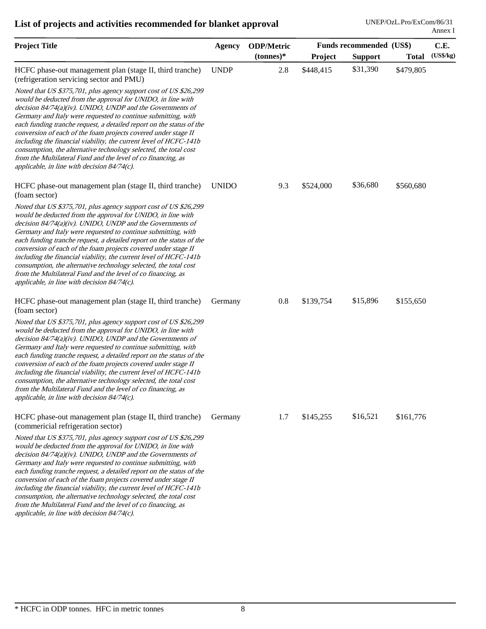| <b>Project Title</b>                                                                                                                                                                                                                                                                                                                                                                                                                                                                                                                                                                                                                                                  | <b>Agency</b> | <b>ODP/Metric</b> | Funds recommended (US\$) |                |              | C.E.      |  |
|-----------------------------------------------------------------------------------------------------------------------------------------------------------------------------------------------------------------------------------------------------------------------------------------------------------------------------------------------------------------------------------------------------------------------------------------------------------------------------------------------------------------------------------------------------------------------------------------------------------------------------------------------------------------------|---------------|-------------------|--------------------------|----------------|--------------|-----------|--|
|                                                                                                                                                                                                                                                                                                                                                                                                                                                                                                                                                                                                                                                                       |               | $(tonnes)*$       | Project                  | <b>Support</b> | <b>Total</b> | (US\$/kg) |  |
| HCFC phase-out management plan (stage II, third tranche)<br>(refrigeration servicing sector and PMU)                                                                                                                                                                                                                                                                                                                                                                                                                                                                                                                                                                  | <b>UNDP</b>   | 2.8               | \$448,415                | \$31,390       | \$479,805    |           |  |
| Noted that US \$375,701, plus agency support cost of US \$26,299<br>would be deducted from the approval for UNIDO, in line with<br>decision $84/74(a)(iv)$ . UNIDO, UNDP and the Governments of<br>Germany and Italy were requested to continue submitting, with<br>each funding tranche request, a detailed report on the status of the<br>conversion of each of the foam projects covered under stage II<br>including the financial viability, the current level of HCFC-141b<br>consumption, the alternative technology selected, the total cost<br>from the Multilateral Fund and the level of co financing, as<br>applicable, in line with decision 84/74(c).    |               |                   |                          |                |              |           |  |
| HCFC phase-out management plan (stage II, third tranche)<br>(foam sector)                                                                                                                                                                                                                                                                                                                                                                                                                                                                                                                                                                                             | <b>UNIDO</b>  | 9.3               | \$524,000                | \$36,680       | \$560,680    |           |  |
| Noted that US \$375,701, plus agency support cost of US \$26,299<br>would be deducted from the approval for UNIDO, in line with<br>decision $84/74(a)(iv)$ . UNIDO, UNDP and the Governments of<br>Germany and Italy were requested to continue submitting, with<br>each funding tranche request, a detailed report on the status of the<br>conversion of each of the foam projects covered under stage II<br>including the financial viability, the current level of HCFC-141b<br>consumption, the alternative technology selected, the total cost<br>from the Multilateral Fund and the level of co financing, as<br>applicable, in line with decision $84/74(c)$ . |               |                   |                          |                |              |           |  |
| HCFC phase-out management plan (stage II, third tranche)<br>(foam sector)                                                                                                                                                                                                                                                                                                                                                                                                                                                                                                                                                                                             | Germany       | 0.8               | \$139,754                | \$15,896       | \$155,650    |           |  |
| Noted that US \$375,701, plus agency support cost of US \$26,299<br>would be deducted from the approval for UNIDO, in line with<br>decision 84/74(a)(iv). UNIDO, UNDP and the Governments of<br>Germany and Italy were requested to continue submitting, with<br>each funding tranche request, a detailed report on the status of the<br>conversion of each of the foam projects covered under stage II<br>including the financial viability, the current level of HCFC-141b<br>consumption, the alternative technology selected, the total cost<br>from the Multilateral Fund and the level of co financing, as<br>applicable, in line with decision $84/74(c)$ .    |               |                   |                          |                |              |           |  |
| HCFC phase-out management plan (stage II, third tranche)<br>(commericial refrigeration sector)                                                                                                                                                                                                                                                                                                                                                                                                                                                                                                                                                                        | Germany       | 1.7               | \$145,255                | \$16,521       | \$161,776    |           |  |
| Noted that US \$375,701, plus agency support cost of US \$26,299<br>would be deducted from the approval for UNIDO, in line with<br>decision $84/74(a)(iv)$ . UNIDO, UNDP and the Governments of<br>Germany and Italy were requested to continue submitting, with<br>each funding tranche request, a detailed report on the status of the<br>conversion of each of the foam projects covered under stage II<br>including the financial viability, the current level of HCFC-141b<br>consumption, the alternative technology selected, the total cost<br>from the Multilateral Fund and the level of co financing, as<br>applicable, in line with decision 84/74(c).    |               |                   |                          |                |              |           |  |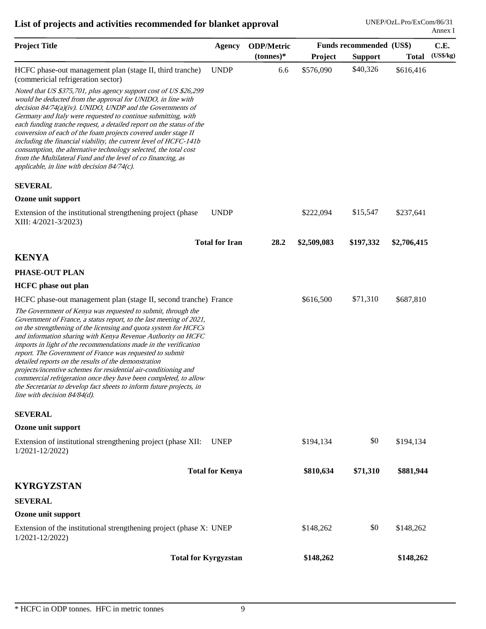| <b>Project Title</b>                                                                                                                                                                                                                                                                                                                                                                                                                                                                                                                                                                                                                                                                                           | <b>Agency</b>          | <b>ODP/Metric</b> | Funds recommended (US\$) |                |              | C.E.      |
|----------------------------------------------------------------------------------------------------------------------------------------------------------------------------------------------------------------------------------------------------------------------------------------------------------------------------------------------------------------------------------------------------------------------------------------------------------------------------------------------------------------------------------------------------------------------------------------------------------------------------------------------------------------------------------------------------------------|------------------------|-------------------|--------------------------|----------------|--------------|-----------|
|                                                                                                                                                                                                                                                                                                                                                                                                                                                                                                                                                                                                                                                                                                                |                        | $(tonnes)*$       | Project                  | <b>Support</b> | <b>Total</b> | (US\$/kg) |
| HCFC phase-out management plan (stage II, third tranche)<br>(commericial refrigeration sector)                                                                                                                                                                                                                                                                                                                                                                                                                                                                                                                                                                                                                 | <b>UNDP</b>            | 6.6               | \$576,090                | \$40,326       | \$616,416    |           |
| Noted that US \$375,701, plus agency support cost of US \$26,299<br>would be deducted from the approval for UNIDO, in line with<br>decision $84/74(a)(iv)$ . UNIDO, UNDP and the Governments of<br>Germany and Italy were requested to continue submitting, with<br>each funding tranche request, a detailed report on the status of the<br>conversion of each of the foam projects covered under stage II<br>including the financial viability, the current level of HCFC-141b<br>consumption, the alternative technology selected, the total cost<br>from the Multilateral Fund and the level of co financing, as<br>applicable, in line with decision $84/74(c)$ .                                          |                        |                   |                          |                |              |           |
| <b>SEVERAL</b>                                                                                                                                                                                                                                                                                                                                                                                                                                                                                                                                                                                                                                                                                                 |                        |                   |                          |                |              |           |
| Ozone unit support                                                                                                                                                                                                                                                                                                                                                                                                                                                                                                                                                                                                                                                                                             |                        |                   |                          |                |              |           |
| Extension of the institutional strengthening project (phase<br>XIII: 4/2021-3/2023)                                                                                                                                                                                                                                                                                                                                                                                                                                                                                                                                                                                                                            | <b>UNDP</b>            |                   | \$222,094                | \$15,547       | \$237,641    |           |
|                                                                                                                                                                                                                                                                                                                                                                                                                                                                                                                                                                                                                                                                                                                | <b>Total for Iran</b>  | 28.2              | \$2,509,083              | \$197,332      | \$2,706,415  |           |
| <b>KENYA</b>                                                                                                                                                                                                                                                                                                                                                                                                                                                                                                                                                                                                                                                                                                   |                        |                   |                          |                |              |           |
| PHASE-OUT PLAN                                                                                                                                                                                                                                                                                                                                                                                                                                                                                                                                                                                                                                                                                                 |                        |                   |                          |                |              |           |
| <b>HCFC</b> phase out plan                                                                                                                                                                                                                                                                                                                                                                                                                                                                                                                                                                                                                                                                                     |                        |                   |                          |                |              |           |
| HCFC phase-out management plan (stage II, second tranche) France                                                                                                                                                                                                                                                                                                                                                                                                                                                                                                                                                                                                                                               |                        |                   | \$616,500                | \$71,310       | \$687,810    |           |
| The Government of Kenya was requested to submit, through the<br>Government of France, a status report, to the last meeting of 2021,<br>on the strengthening of the licensing and quota system for HCFCs<br>and information sharing with Kenya Revenue Authority on HCFC<br>imports in light of the recommendations made in the verification<br>report. The Government of France was requested to submit<br>detailed reports on the results of the demonstration<br>projects/incentive schemes for residential air-conditioning and<br>commercial refrigeration once they have been completed, to allow<br>the Secretariat to develop fact sheets to inform future projects, in<br>line with decision 84/84(d). |                        |                   |                          |                |              |           |
| <b>SEVERAL</b>                                                                                                                                                                                                                                                                                                                                                                                                                                                                                                                                                                                                                                                                                                 |                        |                   |                          |                |              |           |
| Ozone unit support                                                                                                                                                                                                                                                                                                                                                                                                                                                                                                                                                                                                                                                                                             |                        |                   |                          |                |              |           |
| Extension of institutional strengthening project (phase XII:<br>$1/2021 - 12/2022$                                                                                                                                                                                                                                                                                                                                                                                                                                                                                                                                                                                                                             | <b>UNEP</b>            |                   | \$194,134                | \$0            | \$194,134    |           |
|                                                                                                                                                                                                                                                                                                                                                                                                                                                                                                                                                                                                                                                                                                                | <b>Total for Kenya</b> |                   | \$810,634                | \$71,310       | \$881,944    |           |
| <b>KYRGYZSTAN</b>                                                                                                                                                                                                                                                                                                                                                                                                                                                                                                                                                                                                                                                                                              |                        |                   |                          |                |              |           |
| <b>SEVERAL</b>                                                                                                                                                                                                                                                                                                                                                                                                                                                                                                                                                                                                                                                                                                 |                        |                   |                          |                |              |           |
| Ozone unit support                                                                                                                                                                                                                                                                                                                                                                                                                                                                                                                                                                                                                                                                                             |                        |                   |                          |                |              |           |
| Extension of the institutional strengthening project (phase X: UNEP)<br>1/2021-12/2022)                                                                                                                                                                                                                                                                                                                                                                                                                                                                                                                                                                                                                        |                        |                   | \$148,262                | \$0            | \$148,262    |           |
| <b>Total for Kyrgyzstan</b>                                                                                                                                                                                                                                                                                                                                                                                                                                                                                                                                                                                                                                                                                    |                        |                   | \$148,262                |                | \$148,262    |           |
|                                                                                                                                                                                                                                                                                                                                                                                                                                                                                                                                                                                                                                                                                                                |                        |                   |                          |                |              |           |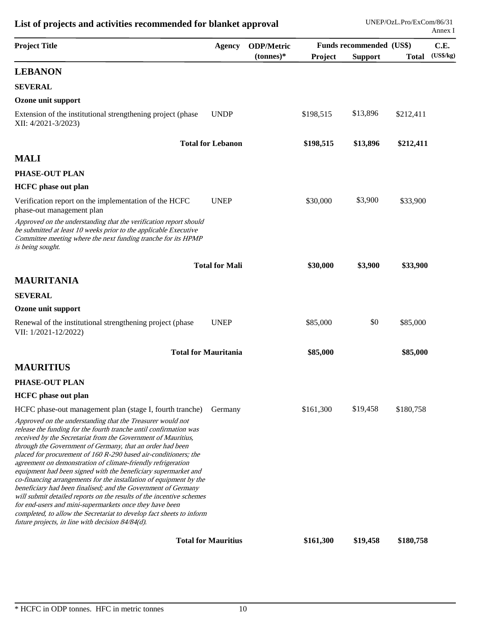| <b>Project Title</b>                                                                                                                                                                                                                                                                                                                                                                                                                                                                                                                                                                                                                                                                                                                                                                                                                                                     | <b>Agency</b>              | <b>ODP/Metric</b> | Funds recommended (US\$) |                |              | C.E.      |  |
|--------------------------------------------------------------------------------------------------------------------------------------------------------------------------------------------------------------------------------------------------------------------------------------------------------------------------------------------------------------------------------------------------------------------------------------------------------------------------------------------------------------------------------------------------------------------------------------------------------------------------------------------------------------------------------------------------------------------------------------------------------------------------------------------------------------------------------------------------------------------------|----------------------------|-------------------|--------------------------|----------------|--------------|-----------|--|
|                                                                                                                                                                                                                                                                                                                                                                                                                                                                                                                                                                                                                                                                                                                                                                                                                                                                          |                            | $(tonnes)*$       | Project                  | <b>Support</b> | <b>Total</b> | (US\$/kg) |  |
| <b>LEBANON</b>                                                                                                                                                                                                                                                                                                                                                                                                                                                                                                                                                                                                                                                                                                                                                                                                                                                           |                            |                   |                          |                |              |           |  |
| <b>SEVERAL</b>                                                                                                                                                                                                                                                                                                                                                                                                                                                                                                                                                                                                                                                                                                                                                                                                                                                           |                            |                   |                          |                |              |           |  |
| Ozone unit support                                                                                                                                                                                                                                                                                                                                                                                                                                                                                                                                                                                                                                                                                                                                                                                                                                                       |                            |                   |                          |                |              |           |  |
| Extension of the institutional strengthening project (phase<br>XII: 4/2021-3/2023)                                                                                                                                                                                                                                                                                                                                                                                                                                                                                                                                                                                                                                                                                                                                                                                       | <b>UNDP</b>                |                   | \$198,515                | \$13,896       | \$212,411    |           |  |
|                                                                                                                                                                                                                                                                                                                                                                                                                                                                                                                                                                                                                                                                                                                                                                                                                                                                          | <b>Total for Lebanon</b>   |                   | \$198,515                | \$13,896       | \$212,411    |           |  |
| <b>MALI</b>                                                                                                                                                                                                                                                                                                                                                                                                                                                                                                                                                                                                                                                                                                                                                                                                                                                              |                            |                   |                          |                |              |           |  |
| PHASE-OUT PLAN                                                                                                                                                                                                                                                                                                                                                                                                                                                                                                                                                                                                                                                                                                                                                                                                                                                           |                            |                   |                          |                |              |           |  |
| <b>HCFC</b> phase out plan                                                                                                                                                                                                                                                                                                                                                                                                                                                                                                                                                                                                                                                                                                                                                                                                                                               |                            |                   |                          |                |              |           |  |
| Verification report on the implementation of the HCFC<br>phase-out management plan                                                                                                                                                                                                                                                                                                                                                                                                                                                                                                                                                                                                                                                                                                                                                                                       | <b>UNEP</b>                |                   | \$30,000                 | \$3,900        | \$33,900     |           |  |
| Approved on the understanding that the verification report should<br>be submitted at least 10 weeks prior to the applicable Executive<br>Committee meeting where the next funding tranche for its HPMP<br>is being sought.                                                                                                                                                                                                                                                                                                                                                                                                                                                                                                                                                                                                                                               |                            |                   |                          |                |              |           |  |
|                                                                                                                                                                                                                                                                                                                                                                                                                                                                                                                                                                                                                                                                                                                                                                                                                                                                          | <b>Total for Mali</b>      |                   | \$30,000                 | \$3,900        | \$33,900     |           |  |
| <b>MAURITANIA</b>                                                                                                                                                                                                                                                                                                                                                                                                                                                                                                                                                                                                                                                                                                                                                                                                                                                        |                            |                   |                          |                |              |           |  |
| <b>SEVERAL</b>                                                                                                                                                                                                                                                                                                                                                                                                                                                                                                                                                                                                                                                                                                                                                                                                                                                           |                            |                   |                          |                |              |           |  |
| Ozone unit support                                                                                                                                                                                                                                                                                                                                                                                                                                                                                                                                                                                                                                                                                                                                                                                                                                                       |                            |                   |                          |                |              |           |  |
| Renewal of the institutional strengthening project (phase<br>VII: 1/2021-12/2022)                                                                                                                                                                                                                                                                                                                                                                                                                                                                                                                                                                                                                                                                                                                                                                                        | <b>UNEP</b>                |                   | \$85,000                 | \$0            | \$85,000     |           |  |
| <b>Total for Mauritania</b>                                                                                                                                                                                                                                                                                                                                                                                                                                                                                                                                                                                                                                                                                                                                                                                                                                              |                            |                   | \$85,000                 |                | \$85,000     |           |  |
| <b>MAURITIUS</b>                                                                                                                                                                                                                                                                                                                                                                                                                                                                                                                                                                                                                                                                                                                                                                                                                                                         |                            |                   |                          |                |              |           |  |
| PHASE-OUT PLAN                                                                                                                                                                                                                                                                                                                                                                                                                                                                                                                                                                                                                                                                                                                                                                                                                                                           |                            |                   |                          |                |              |           |  |
| <b>HCFC</b> phase out plan                                                                                                                                                                                                                                                                                                                                                                                                                                                                                                                                                                                                                                                                                                                                                                                                                                               |                            |                   |                          |                |              |           |  |
| HCFC phase-out management plan (stage I, fourth tranche)                                                                                                                                                                                                                                                                                                                                                                                                                                                                                                                                                                                                                                                                                                                                                                                                                 | Germany                    |                   | \$161,300                | \$19,458       | \$180,758    |           |  |
| Approved on the understanding that the Treasurer would not<br>release the funding for the fourth tranche until confirmation was<br>received by the Secretariat from the Government of Mauritius,<br>through the Government of Germany, that an order had been<br>placed for procurement of 160 R-290 based air-conditioners; the<br>agreement on demonstration of climate-friendly refrigeration<br>equipment had been signed with the beneficiary supermarket and<br>co-financing arrangements for the installation of equipment by the<br>beneficiary had been finalised; and the Government of Germany<br>will submit detailed reports on the results of the incentive schemes<br>for end-users and mini-supermarkets once they have been<br>completed, to allow the Secretariat to develop fact sheets to inform<br>future projects, in line with decision 84/84(d). |                            |                   |                          |                |              |           |  |
|                                                                                                                                                                                                                                                                                                                                                                                                                                                                                                                                                                                                                                                                                                                                                                                                                                                                          | <b>Total for Mauritius</b> |                   | \$161,300                | \$19,458       | \$180,758    |           |  |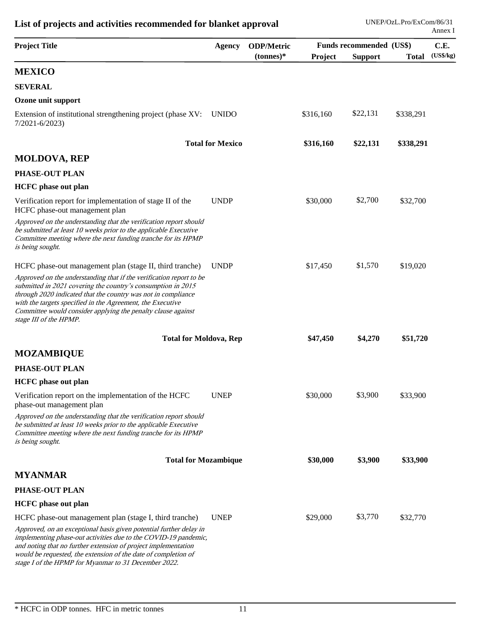| <b>Project Title</b>                                                                                                                                                                                                                                                                                                                                         | <b>Agency</b>           | <b>ODP/Metric</b> | Funds recommended (US\$) |                |              | C.E.      |
|--------------------------------------------------------------------------------------------------------------------------------------------------------------------------------------------------------------------------------------------------------------------------------------------------------------------------------------------------------------|-------------------------|-------------------|--------------------------|----------------|--------------|-----------|
|                                                                                                                                                                                                                                                                                                                                                              |                         | $(tonnes)*$       | Project                  | <b>Support</b> | <b>Total</b> | (US\$/kg) |
| <b>MEXICO</b>                                                                                                                                                                                                                                                                                                                                                |                         |                   |                          |                |              |           |
| <b>SEVERAL</b>                                                                                                                                                                                                                                                                                                                                               |                         |                   |                          |                |              |           |
| Ozone unit support                                                                                                                                                                                                                                                                                                                                           |                         |                   |                          |                |              |           |
| Extension of institutional strengthening project (phase XV:<br>$7/2021 - 6/2023$                                                                                                                                                                                                                                                                             | <b>UNIDO</b>            |                   | \$316,160                | \$22,131       | \$338,291    |           |
|                                                                                                                                                                                                                                                                                                                                                              | <b>Total for Mexico</b> |                   | \$316,160                | \$22,131       | \$338,291    |           |
| <b>MOLDOVA, REP</b>                                                                                                                                                                                                                                                                                                                                          |                         |                   |                          |                |              |           |
| PHASE-OUT PLAN                                                                                                                                                                                                                                                                                                                                               |                         |                   |                          |                |              |           |
| <b>HCFC</b> phase out plan                                                                                                                                                                                                                                                                                                                                   |                         |                   |                          |                |              |           |
| Verification report for implementation of stage II of the<br>HCFC phase-out management plan                                                                                                                                                                                                                                                                  | <b>UNDP</b>             |                   | \$30,000                 | \$2,700        | \$32,700     |           |
| Approved on the understanding that the verification report should<br>be submitted at least 10 weeks prior to the applicable Executive<br>Committee meeting where the next funding tranche for its HPMP<br>is being sought.                                                                                                                                   |                         |                   |                          |                |              |           |
| HCFC phase-out management plan (stage II, third tranche)                                                                                                                                                                                                                                                                                                     | <b>UNDP</b>             |                   | \$17,450                 | \$1,570        | \$19,020     |           |
| Approved on the understanding that if the verification report to be<br>submitted in 2021 covering the country's consumption in 2015<br>through 2020 indicated that the country was not in compliance<br>with the targets specified in the Agreement, the Executive<br>Committee would consider applying the penalty clause against<br>stage III of the HPMP. |                         |                   |                          |                |              |           |
| <b>Total for Moldova, Rep</b>                                                                                                                                                                                                                                                                                                                                |                         |                   | \$47,450                 | \$4,270        | \$51,720     |           |
| <b>MOZAMBIQUE</b>                                                                                                                                                                                                                                                                                                                                            |                         |                   |                          |                |              |           |
| PHASE-OUT PLAN                                                                                                                                                                                                                                                                                                                                               |                         |                   |                          |                |              |           |
| <b>HCFC</b> phase out plan                                                                                                                                                                                                                                                                                                                                   |                         |                   |                          |                |              |           |
| Verification report on the implementation of the HCFC<br>phase-out management plan                                                                                                                                                                                                                                                                           | <b>UNEP</b>             |                   | \$30,000                 | \$3,900        | \$33,900     |           |
| Approved on the understanding that the verification report should<br>be submitted at least 10 weeks prior to the applicable Executive<br>Committee meeting where the next funding tranche for its HPMP<br>is being sought.                                                                                                                                   |                         |                   |                          |                |              |           |
| <b>Total for Mozambique</b>                                                                                                                                                                                                                                                                                                                                  |                         |                   | \$30,000                 | \$3,900        | \$33,900     |           |
| <b>MYANMAR</b>                                                                                                                                                                                                                                                                                                                                               |                         |                   |                          |                |              |           |
| PHASE-OUT PLAN                                                                                                                                                                                                                                                                                                                                               |                         |                   |                          |                |              |           |
| <b>HCFC</b> phase out plan                                                                                                                                                                                                                                                                                                                                   |                         |                   |                          |                |              |           |
| HCFC phase-out management plan (stage I, third tranche)                                                                                                                                                                                                                                                                                                      | <b>UNEP</b>             |                   | \$29,000                 | \$3,770        | \$32,770     |           |
| Approved, on an exceptional basis given potential further delay in<br>implementing phase-out activities due to the COVID-19 pandemic,<br>and noting that no further extension of project implementation<br>would be requested, the extension of the date of completion of<br>stage I of the HPMP for Myanmar to 31 December 2022.                            |                         |                   |                          |                |              |           |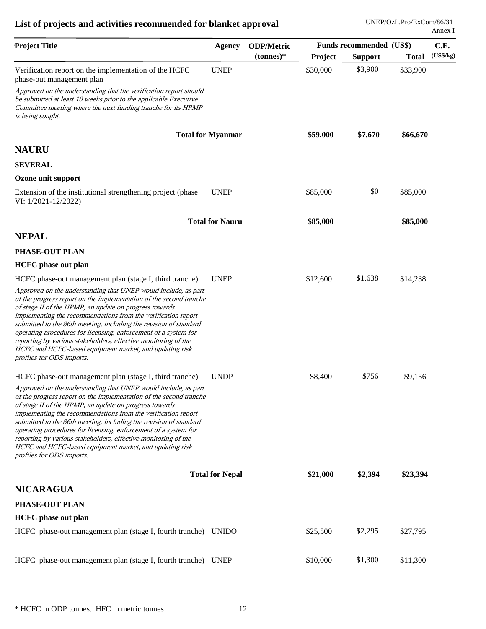| <b>Agency</b> | <b>ODP/Metric</b>                                                                                                                                                                                                                                                                                                                                           | Funds recommended (US\$) |                |              | C.E.                                         |
|---------------|-------------------------------------------------------------------------------------------------------------------------------------------------------------------------------------------------------------------------------------------------------------------------------------------------------------------------------------------------------------|--------------------------|----------------|--------------|----------------------------------------------|
|               | $(tonnes)*$                                                                                                                                                                                                                                                                                                                                                 | Project                  | <b>Support</b> | <b>Total</b> | (US\$/kg)                                    |
| <b>UNEP</b>   |                                                                                                                                                                                                                                                                                                                                                             | \$30,000                 | \$3,900        | \$33,900     |                                              |
|               |                                                                                                                                                                                                                                                                                                                                                             |                          |                |              |                                              |
|               |                                                                                                                                                                                                                                                                                                                                                             | \$59,000                 | \$7,670        |              |                                              |
|               |                                                                                                                                                                                                                                                                                                                                                             |                          |                |              |                                              |
|               |                                                                                                                                                                                                                                                                                                                                                             |                          |                |              |                                              |
|               |                                                                                                                                                                                                                                                                                                                                                             |                          |                |              |                                              |
| <b>UNEP</b>   |                                                                                                                                                                                                                                                                                                                                                             | \$85,000                 | \$0            | \$85,000     |                                              |
|               |                                                                                                                                                                                                                                                                                                                                                             | \$85,000                 |                |              |                                              |
|               |                                                                                                                                                                                                                                                                                                                                                             |                          |                |              |                                              |
|               |                                                                                                                                                                                                                                                                                                                                                             |                          |                |              |                                              |
|               |                                                                                                                                                                                                                                                                                                                                                             |                          |                |              |                                              |
| <b>UNEP</b>   |                                                                                                                                                                                                                                                                                                                                                             | \$12,600                 | \$1,638        | \$14,238     |                                              |
|               |                                                                                                                                                                                                                                                                                                                                                             |                          |                |              |                                              |
| <b>UNDP</b>   |                                                                                                                                                                                                                                                                                                                                                             | \$8,400                  | \$756          | \$9,156      |                                              |
|               |                                                                                                                                                                                                                                                                                                                                                             |                          |                |              |                                              |
|               |                                                                                                                                                                                                                                                                                                                                                             | \$21,000                 | \$2,394        |              |                                              |
|               |                                                                                                                                                                                                                                                                                                                                                             |                          |                |              |                                              |
|               |                                                                                                                                                                                                                                                                                                                                                             |                          |                |              |                                              |
|               |                                                                                                                                                                                                                                                                                                                                                             |                          |                |              |                                              |
|               |                                                                                                                                                                                                                                                                                                                                                             | \$25,500                 | \$2,295        | \$27,795     |                                              |
|               |                                                                                                                                                                                                                                                                                                                                                             |                          | \$1,300        |              |                                              |
|               | <b>Total for Myanmar</b><br><b>Total for Nauru</b><br>of the progress report on the implementation of the second tranche<br>of the progress report on the implementation of the second tranche<br><b>Total for Nepal</b><br>HCFC phase-out management plan (stage I, fourth tranche) UNIDO<br>HCFC phase-out management plan (stage I, fourth tranche) UNEP |                          | \$10,000       |              | \$66,670<br>\$85,000<br>\$23,394<br>\$11,300 |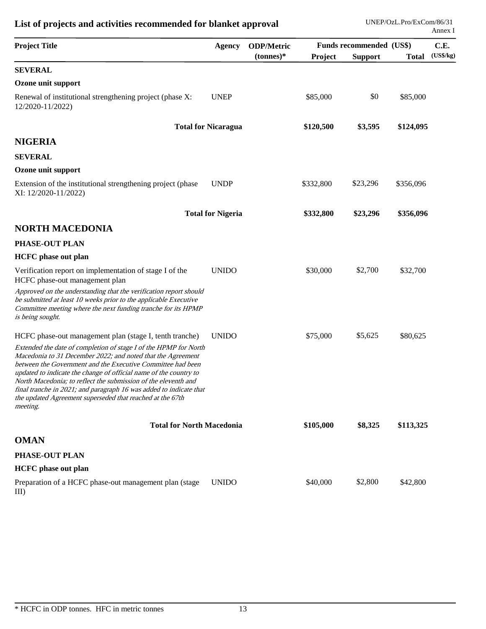| <b>Project Title</b>                                                                                                                                                                                                                                                                                                                                                                                                                                                                 | <b>Agency</b>              | <b>ODP/Metric</b> |           |                | Funds recommended (US\$) |           |
|--------------------------------------------------------------------------------------------------------------------------------------------------------------------------------------------------------------------------------------------------------------------------------------------------------------------------------------------------------------------------------------------------------------------------------------------------------------------------------------|----------------------------|-------------------|-----------|----------------|--------------------------|-----------|
|                                                                                                                                                                                                                                                                                                                                                                                                                                                                                      |                            | $(tonnes)*$       | Project   | <b>Support</b> | <b>Total</b>             | (US\$/kg) |
| <b>SEVERAL</b>                                                                                                                                                                                                                                                                                                                                                                                                                                                                       |                            |                   |           |                |                          |           |
| Ozone unit support                                                                                                                                                                                                                                                                                                                                                                                                                                                                   |                            |                   |           |                |                          |           |
| Renewal of institutional strengthening project (phase X:<br>12/2020-11/2022)                                                                                                                                                                                                                                                                                                                                                                                                         | <b>UNEP</b>                |                   | \$85,000  | \$0            | \$85,000                 |           |
|                                                                                                                                                                                                                                                                                                                                                                                                                                                                                      | <b>Total for Nicaragua</b> |                   | \$120,500 | \$3,595        | \$124,095                |           |
| <b>NIGERIA</b>                                                                                                                                                                                                                                                                                                                                                                                                                                                                       |                            |                   |           |                |                          |           |
| <b>SEVERAL</b>                                                                                                                                                                                                                                                                                                                                                                                                                                                                       |                            |                   |           |                |                          |           |
| Ozone unit support                                                                                                                                                                                                                                                                                                                                                                                                                                                                   |                            |                   |           |                |                          |           |
| Extension of the institutional strengthening project (phase<br>XI: 12/2020-11/2022)                                                                                                                                                                                                                                                                                                                                                                                                  | <b>UNDP</b>                |                   | \$332,800 | \$23,296       | \$356,096                |           |
|                                                                                                                                                                                                                                                                                                                                                                                                                                                                                      | <b>Total for Nigeria</b>   |                   | \$332,800 | \$23,296       | \$356,096                |           |
| <b>NORTH MACEDONIA</b>                                                                                                                                                                                                                                                                                                                                                                                                                                                               |                            |                   |           |                |                          |           |
| <b>PHASE-OUT PLAN</b>                                                                                                                                                                                                                                                                                                                                                                                                                                                                |                            |                   |           |                |                          |           |
| <b>HCFC</b> phase out plan                                                                                                                                                                                                                                                                                                                                                                                                                                                           |                            |                   |           |                |                          |           |
| Verification report on implementation of stage I of the<br>HCFC phase-out management plan                                                                                                                                                                                                                                                                                                                                                                                            | <b>UNIDO</b>               |                   | \$30,000  | \$2,700        | \$32,700                 |           |
| Approved on the understanding that the verification report should<br>be submitted at least 10 weeks prior to the applicable Executive<br>Committee meeting where the next funding tranche for its HPMP<br>is being sought.                                                                                                                                                                                                                                                           |                            |                   |           |                |                          |           |
| HCFC phase-out management plan (stage I, tenth tranche)                                                                                                                                                                                                                                                                                                                                                                                                                              | <b>UNIDO</b>               |                   | \$75,000  | \$5,625        | \$80,625                 |           |
| Extended the date of completion of stage I of the HPMP for North<br>Macedonia to 31 December 2022; and noted that the Agreement<br>between the Government and the Executive Committee had been<br>updated to indicate the change of official name of the country to<br>North Macedonia; to reflect the submission of the eleventh and<br>final tranche in 2021; and paragraph 16 was added to indicate that<br>the updated Agreement superseded that reached at the 67th<br>meeting. |                            |                   |           |                |                          |           |
| <b>Total for North Macedonia</b>                                                                                                                                                                                                                                                                                                                                                                                                                                                     |                            |                   | \$105,000 | \$8,325        | \$113,325                |           |
| <b>OMAN</b>                                                                                                                                                                                                                                                                                                                                                                                                                                                                          |                            |                   |           |                |                          |           |
| PHASE-OUT PLAN                                                                                                                                                                                                                                                                                                                                                                                                                                                                       |                            |                   |           |                |                          |           |
| <b>HCFC</b> phase out plan                                                                                                                                                                                                                                                                                                                                                                                                                                                           |                            |                   |           |                |                          |           |
| Preparation of a HCFC phase-out management plan (stage<br>$III$ )                                                                                                                                                                                                                                                                                                                                                                                                                    | <b>UNIDO</b>               |                   | \$40,000  | \$2,800        | \$42,800                 |           |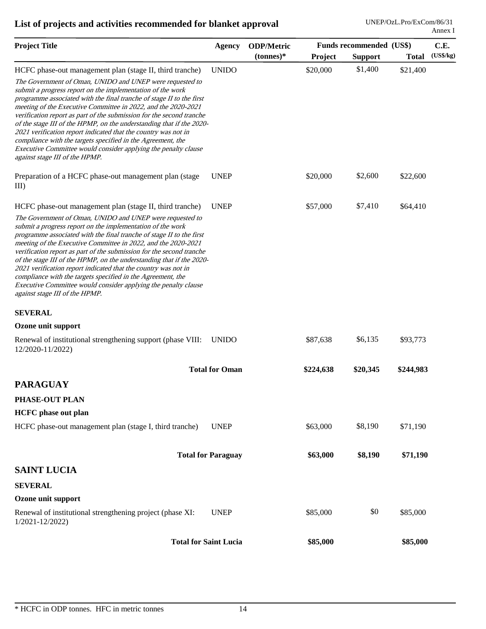| <b>Project Title</b>                                                                                                                                                                                                                                                                                                                                                                                                                                                                                                                                                                                                                                                                                             | <b>Agency</b>                | <b>ODP/Metric</b> | Funds recommended (US\$) |                |              | C.E.      |  |
|------------------------------------------------------------------------------------------------------------------------------------------------------------------------------------------------------------------------------------------------------------------------------------------------------------------------------------------------------------------------------------------------------------------------------------------------------------------------------------------------------------------------------------------------------------------------------------------------------------------------------------------------------------------------------------------------------------------|------------------------------|-------------------|--------------------------|----------------|--------------|-----------|--|
|                                                                                                                                                                                                                                                                                                                                                                                                                                                                                                                                                                                                                                                                                                                  |                              | $(tonnes)*$       | Project                  | <b>Support</b> | <b>Total</b> | (US\$/kg) |  |
| HCFC phase-out management plan (stage II, third tranche)<br>The Government of Oman, UNIDO and UNEP were requested to<br>submit a progress report on the implementation of the work<br>programme associated with the final tranche of stage II to the first<br>meeting of the Executive Committee in 2022, and the 2020-2021<br>verification report as part of the submission for the second tranche<br>of the stage III of the HPMP, on the understanding that if the 2020-<br>2021 verification report indicated that the country was not in<br>compliance with the targets specified in the Agreement, the<br>Executive Committee would consider applying the penalty clause<br>against stage III of the HPMP. | <b>UNIDO</b>                 |                   | \$20,000                 | \$1,400        | \$21,400     |           |  |
| Preparation of a HCFC phase-out management plan (stage<br>$III$ )                                                                                                                                                                                                                                                                                                                                                                                                                                                                                                                                                                                                                                                | <b>UNEP</b>                  |                   | \$20,000                 | \$2,600        | \$22,600     |           |  |
| HCFC phase-out management plan (stage II, third tranche)                                                                                                                                                                                                                                                                                                                                                                                                                                                                                                                                                                                                                                                         | <b>UNEP</b>                  |                   | \$57,000                 | \$7,410        | \$64,410     |           |  |
| The Government of Oman, UNIDO and UNEP were requested to<br>submit a progress report on the implementation of the work<br>programme associated with the final tranche of stage II to the first<br>meeting of the Executive Committee in 2022, and the 2020-2021<br>verification report as part of the submission for the second tranche<br>of the stage III of the HPMP, on the understanding that if the 2020-<br>2021 verification report indicated that the country was not in<br>compliance with the targets specified in the Agreement, the<br>Executive Committee would consider applying the penalty clause<br>against stage III of the HPMP.                                                             |                              |                   |                          |                |              |           |  |
| <b>SEVERAL</b>                                                                                                                                                                                                                                                                                                                                                                                                                                                                                                                                                                                                                                                                                                   |                              |                   |                          |                |              |           |  |
| Ozone unit support                                                                                                                                                                                                                                                                                                                                                                                                                                                                                                                                                                                                                                                                                               |                              |                   |                          |                |              |           |  |
| Renewal of institutional strengthening support (phase VIII:<br>12/2020-11/2022)                                                                                                                                                                                                                                                                                                                                                                                                                                                                                                                                                                                                                                  | <b>UNIDO</b>                 |                   | \$87,638                 | \$6,135        | \$93,773     |           |  |
|                                                                                                                                                                                                                                                                                                                                                                                                                                                                                                                                                                                                                                                                                                                  | <b>Total for Oman</b>        |                   | \$224,638                | \$20,345       | \$244,983    |           |  |
| <b>PARAGUAY</b>                                                                                                                                                                                                                                                                                                                                                                                                                                                                                                                                                                                                                                                                                                  |                              |                   |                          |                |              |           |  |
| PHASE-OUT PLAN                                                                                                                                                                                                                                                                                                                                                                                                                                                                                                                                                                                                                                                                                                   |                              |                   |                          |                |              |           |  |
| <b>HCFC</b> phase out plan                                                                                                                                                                                                                                                                                                                                                                                                                                                                                                                                                                                                                                                                                       |                              |                   |                          |                |              |           |  |
| HCFC phase-out management plan (stage I, third tranche)                                                                                                                                                                                                                                                                                                                                                                                                                                                                                                                                                                                                                                                          | <b>UNEP</b>                  |                   | \$63,000                 | \$8,190        | \$71,190     |           |  |
|                                                                                                                                                                                                                                                                                                                                                                                                                                                                                                                                                                                                                                                                                                                  | <b>Total for Paraguay</b>    |                   | \$63,000                 | \$8,190        | \$71,190     |           |  |
| <b>SAINT LUCIA</b>                                                                                                                                                                                                                                                                                                                                                                                                                                                                                                                                                                                                                                                                                               |                              |                   |                          |                |              |           |  |
| <b>SEVERAL</b>                                                                                                                                                                                                                                                                                                                                                                                                                                                                                                                                                                                                                                                                                                   |                              |                   |                          |                |              |           |  |
| Ozone unit support                                                                                                                                                                                                                                                                                                                                                                                                                                                                                                                                                                                                                                                                                               |                              |                   |                          |                |              |           |  |
| Renewal of institutional strengthening project (phase XI:<br>1/2021-12/2022)                                                                                                                                                                                                                                                                                                                                                                                                                                                                                                                                                                                                                                     | <b>UNEP</b>                  |                   | \$85,000                 | \$0            | \$85,000     |           |  |
|                                                                                                                                                                                                                                                                                                                                                                                                                                                                                                                                                                                                                                                                                                                  | <b>Total for Saint Lucia</b> |                   | \$85,000                 |                | \$85,000     |           |  |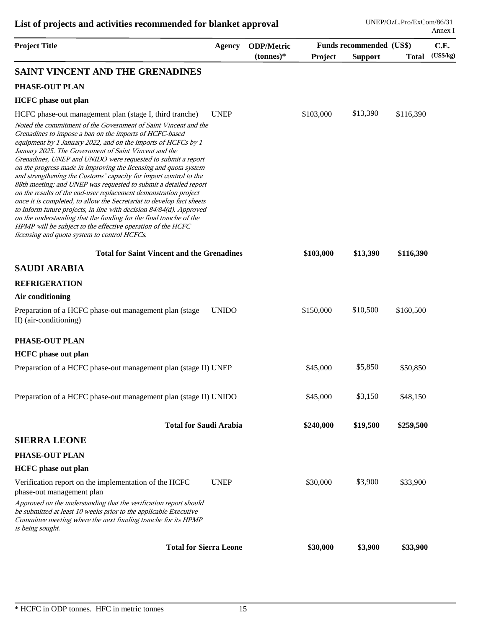| <b>Project Title</b>                                                                                                                                                                                                                                                                                                                                                                                                                                                                                                                                                                                                                                                                                                                                                                                                                                                                                                                       | <b>Agency</b> | <b>ODP/Metric</b> | Funds recommended (US\$) |                |              | C.E.      |  |
|--------------------------------------------------------------------------------------------------------------------------------------------------------------------------------------------------------------------------------------------------------------------------------------------------------------------------------------------------------------------------------------------------------------------------------------------------------------------------------------------------------------------------------------------------------------------------------------------------------------------------------------------------------------------------------------------------------------------------------------------------------------------------------------------------------------------------------------------------------------------------------------------------------------------------------------------|---------------|-------------------|--------------------------|----------------|--------------|-----------|--|
|                                                                                                                                                                                                                                                                                                                                                                                                                                                                                                                                                                                                                                                                                                                                                                                                                                                                                                                                            |               | $(tonnes)*$       | Project                  | <b>Support</b> | <b>Total</b> | (US\$/kg) |  |
| SAINT VINCENT AND THE GRENADINES                                                                                                                                                                                                                                                                                                                                                                                                                                                                                                                                                                                                                                                                                                                                                                                                                                                                                                           |               |                   |                          |                |              |           |  |
| PHASE-OUT PLAN                                                                                                                                                                                                                                                                                                                                                                                                                                                                                                                                                                                                                                                                                                                                                                                                                                                                                                                             |               |                   |                          |                |              |           |  |
| <b>HCFC</b> phase out plan                                                                                                                                                                                                                                                                                                                                                                                                                                                                                                                                                                                                                                                                                                                                                                                                                                                                                                                 |               |                   |                          |                |              |           |  |
| HCFC phase-out management plan (stage I, third tranche)                                                                                                                                                                                                                                                                                                                                                                                                                                                                                                                                                                                                                                                                                                                                                                                                                                                                                    | <b>UNEP</b>   |                   | \$103,000                | \$13,390       | \$116,390    |           |  |
| Noted the commitment of the Government of Saint Vincent and the<br>Grenadines to impose a ban on the imports of HCFC-based<br>equipment by 1 January 2022, and on the imports of HCFCs by 1<br>January 2025. The Government of Saint Vincent and the<br>Grenadines, UNEP and UNIDO were requested to submit a report<br>on the progress made in improving the licensing and quota system<br>and strengthening the Customs' capacity for import control to the<br>88th meeting; and UNEP was requested to submit a detailed report<br>on the results of the end-user replacement demonstration project<br>once it is completed, to allow the Secretariat to develop fact sheets<br>to inform future projects, in line with decision 84/84(d). Approved<br>on the understanding that the funding for the final tranche of the<br>HPMP will be subject to the effective operation of the HCFC<br>licensing and quota system to control HCFCs. |               |                   |                          |                |              |           |  |
| <b>Total for Saint Vincent and the Grenadines</b>                                                                                                                                                                                                                                                                                                                                                                                                                                                                                                                                                                                                                                                                                                                                                                                                                                                                                          |               |                   | \$103,000                | \$13,390       | \$116,390    |           |  |
| <b>SAUDI ARABIA</b>                                                                                                                                                                                                                                                                                                                                                                                                                                                                                                                                                                                                                                                                                                                                                                                                                                                                                                                        |               |                   |                          |                |              |           |  |
| <b>REFRIGERATION</b>                                                                                                                                                                                                                                                                                                                                                                                                                                                                                                                                                                                                                                                                                                                                                                                                                                                                                                                       |               |                   |                          |                |              |           |  |
| Air conditioning                                                                                                                                                                                                                                                                                                                                                                                                                                                                                                                                                                                                                                                                                                                                                                                                                                                                                                                           |               |                   |                          |                |              |           |  |
| Preparation of a HCFC phase-out management plan (stage<br>II) (air-conditioning)                                                                                                                                                                                                                                                                                                                                                                                                                                                                                                                                                                                                                                                                                                                                                                                                                                                           | <b>UNIDO</b>  |                   | \$150,000                | \$10,500       | \$160,500    |           |  |
| PHASE-OUT PLAN                                                                                                                                                                                                                                                                                                                                                                                                                                                                                                                                                                                                                                                                                                                                                                                                                                                                                                                             |               |                   |                          |                |              |           |  |
| <b>HCFC</b> phase out plan                                                                                                                                                                                                                                                                                                                                                                                                                                                                                                                                                                                                                                                                                                                                                                                                                                                                                                                 |               |                   |                          |                |              |           |  |
| Preparation of a HCFC phase-out management plan (stage II) UNEP                                                                                                                                                                                                                                                                                                                                                                                                                                                                                                                                                                                                                                                                                                                                                                                                                                                                            |               |                   | \$45,000                 | \$5,850        | \$50,850     |           |  |
| Preparation of a HCFC phase-out management plan (stage II) UNIDO                                                                                                                                                                                                                                                                                                                                                                                                                                                                                                                                                                                                                                                                                                                                                                                                                                                                           |               |                   | \$45,000                 | \$3,150        | \$48,150     |           |  |
| <b>Total for Saudi Arabia</b>                                                                                                                                                                                                                                                                                                                                                                                                                                                                                                                                                                                                                                                                                                                                                                                                                                                                                                              |               |                   | \$240,000                | \$19,500       | \$259,500    |           |  |
| <b>SIERRA LEONE</b>                                                                                                                                                                                                                                                                                                                                                                                                                                                                                                                                                                                                                                                                                                                                                                                                                                                                                                                        |               |                   |                          |                |              |           |  |
| PHASE-OUT PLAN                                                                                                                                                                                                                                                                                                                                                                                                                                                                                                                                                                                                                                                                                                                                                                                                                                                                                                                             |               |                   |                          |                |              |           |  |
| <b>HCFC</b> phase out plan                                                                                                                                                                                                                                                                                                                                                                                                                                                                                                                                                                                                                                                                                                                                                                                                                                                                                                                 |               |                   |                          |                |              |           |  |
| Verification report on the implementation of the HCFC<br>phase-out management plan                                                                                                                                                                                                                                                                                                                                                                                                                                                                                                                                                                                                                                                                                                                                                                                                                                                         | <b>UNEP</b>   |                   | \$30,000                 | \$3,900        | \$33,900     |           |  |
| Approved on the understanding that the verification report should<br>be submitted at least 10 weeks prior to the applicable Executive<br>Committee meeting where the next funding tranche for its HPMP<br>is being sought.                                                                                                                                                                                                                                                                                                                                                                                                                                                                                                                                                                                                                                                                                                                 |               |                   |                          |                |              |           |  |
| <b>Total for Sierra Leone</b>                                                                                                                                                                                                                                                                                                                                                                                                                                                                                                                                                                                                                                                                                                                                                                                                                                                                                                              |               |                   | \$30,000                 | \$3,900        | \$33,900     |           |  |
|                                                                                                                                                                                                                                                                                                                                                                                                                                                                                                                                                                                                                                                                                                                                                                                                                                                                                                                                            |               |                   |                          |                |              |           |  |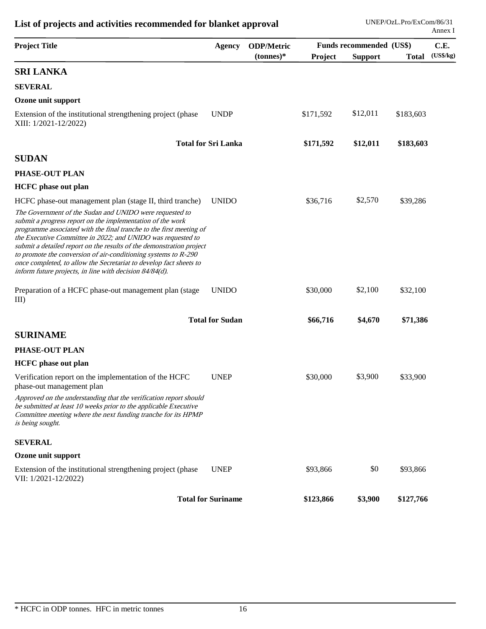| <b>Project Title</b>                                                                                                                                                                                                                                                                                                                                                                                                                                                                                                                   | <b>Agency</b>              | <b>ODP/Metric</b> |           | Funds recommended (US\$) |              |           |
|----------------------------------------------------------------------------------------------------------------------------------------------------------------------------------------------------------------------------------------------------------------------------------------------------------------------------------------------------------------------------------------------------------------------------------------------------------------------------------------------------------------------------------------|----------------------------|-------------------|-----------|--------------------------|--------------|-----------|
|                                                                                                                                                                                                                                                                                                                                                                                                                                                                                                                                        |                            | $(tonnes)*$       | Project   | <b>Support</b>           | <b>Total</b> | (US\$/kg) |
| <b>SRI LANKA</b>                                                                                                                                                                                                                                                                                                                                                                                                                                                                                                                       |                            |                   |           |                          |              |           |
| <b>SEVERAL</b>                                                                                                                                                                                                                                                                                                                                                                                                                                                                                                                         |                            |                   |           |                          |              |           |
| Ozone unit support                                                                                                                                                                                                                                                                                                                                                                                                                                                                                                                     |                            |                   |           |                          |              |           |
| Extension of the institutional strengthening project (phase<br>XIII: 1/2021-12/2022)                                                                                                                                                                                                                                                                                                                                                                                                                                                   | <b>UNDP</b>                |                   | \$171,592 | \$12,011                 | \$183,603    |           |
|                                                                                                                                                                                                                                                                                                                                                                                                                                                                                                                                        | <b>Total for Sri Lanka</b> |                   | \$171,592 | \$12,011                 | \$183,603    |           |
| <b>SUDAN</b>                                                                                                                                                                                                                                                                                                                                                                                                                                                                                                                           |                            |                   |           |                          |              |           |
| PHASE-OUT PLAN                                                                                                                                                                                                                                                                                                                                                                                                                                                                                                                         |                            |                   |           |                          |              |           |
| <b>HCFC</b> phase out plan                                                                                                                                                                                                                                                                                                                                                                                                                                                                                                             |                            |                   |           |                          |              |           |
| HCFC phase-out management plan (stage II, third tranche)                                                                                                                                                                                                                                                                                                                                                                                                                                                                               | <b>UNIDO</b>               |                   | \$36,716  | \$2,570                  | \$39,286     |           |
| The Government of the Sudan and UNIDO were requested to<br>submit a progress report on the implementation of the work<br>programme associated with the final tranche to the first meeting of<br>the Executive Committee in 2022; and UNIDO was requested to<br>submit a detailed report on the results of the demonstration project<br>to promote the conversion of air-conditioning systems to R-290<br>once completed, to allow the Secretariat to develop fact sheets to<br>inform future projects, in line with decision 84/84(d). |                            |                   |           |                          |              |           |
| Preparation of a HCFC phase-out management plan (stage<br>III                                                                                                                                                                                                                                                                                                                                                                                                                                                                          | <b>UNIDO</b>               |                   | \$30,000  | \$2,100                  | \$32,100     |           |
|                                                                                                                                                                                                                                                                                                                                                                                                                                                                                                                                        | <b>Total for Sudan</b>     |                   | \$66,716  | \$4,670                  | \$71,386     |           |
| <b>SURINAME</b>                                                                                                                                                                                                                                                                                                                                                                                                                                                                                                                        |                            |                   |           |                          |              |           |
| PHASE-OUT PLAN                                                                                                                                                                                                                                                                                                                                                                                                                                                                                                                         |                            |                   |           |                          |              |           |
| <b>HCFC</b> phase out plan                                                                                                                                                                                                                                                                                                                                                                                                                                                                                                             |                            |                   |           |                          |              |           |
| Verification report on the implementation of the HCFC<br>phase-out management plan                                                                                                                                                                                                                                                                                                                                                                                                                                                     | <b>UNEP</b>                |                   | \$30,000  | \$3,900                  | \$33,900     |           |
| Approved on the understanding that the verification report should<br>be submitted at least 10 weeks prior to the applicable Executive<br>Committee meeting where the next funding tranche for its HPMP<br>is being sought.                                                                                                                                                                                                                                                                                                             |                            |                   |           |                          |              |           |
| <b>SEVERAL</b>                                                                                                                                                                                                                                                                                                                                                                                                                                                                                                                         |                            |                   |           |                          |              |           |
| Ozone unit support                                                                                                                                                                                                                                                                                                                                                                                                                                                                                                                     |                            |                   |           |                          |              |           |
| Extension of the institutional strengthening project (phase<br>VII: 1/2021-12/2022)                                                                                                                                                                                                                                                                                                                                                                                                                                                    | <b>UNEP</b>                |                   | \$93,866  | \$0                      | \$93,866     |           |
|                                                                                                                                                                                                                                                                                                                                                                                                                                                                                                                                        | <b>Total for Suriname</b>  |                   | \$123,866 | \$3,900                  | \$127,766    |           |